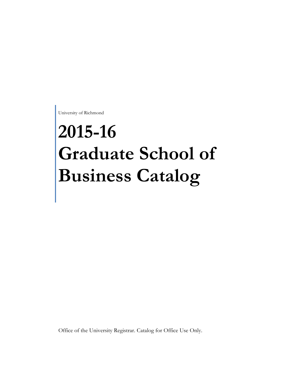University of Richmond

# **2015-16 Graduate School of Business Catalog**

Office of the University Registrar. Catalog for Office Use Only.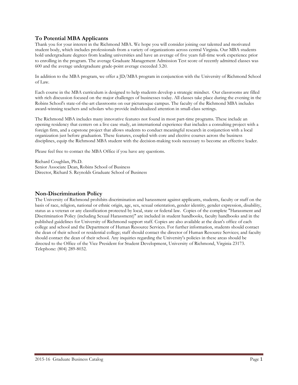# **To Potential MBA Applicants**

Thank you for your interest in the Richmond MBA. We hope you will consider joining our talented and motivated student body, which includes professionals from a variety of organizations across central Virginia. Our MBA students hold undergraduate degrees from leading universities and have an average of five years full-time work experience prior to enrolling in the program. The average Graduate Management Admission Test score of recently admitted classes was 600 and the average undergraduate grade-point average exceeded 3.20.

In addition to the MBA program, we offer a JD/MBA program in conjunction with the University of Richmond School of Law.

Each course in the MBA curriculum is designed to help students develop a strategic mindset. Our classrooms are filled with rich discussion focused on the major challenges of businesses today. All classes take place during the evening in the Robins School's state-of-the-art classrooms on our picturesque campus. The faculty of the Richmond MBA includes award-winning teachers and scholars who provide individualized attention in small-class settings.

The Richmond MBA includes many innovative features not found in most part-time programs. These include an opening residency that centers on a live case study, an international experience that includes a consulting project with a foreign firm, and a capstone project that allows students to conduct meaningful research in conjunction with a local organization just before graduation. These features, coupled with core and elective courses across the business disciplines, equip the Richmond MBA student with the decision-making tools necessary to become an effective leader.

Please feel free to contact the MBA Office if you have any questions.

Richard Coughlan, Ph.D. Senior Associate Dean, Robins School of Business Director, Richard S. Reynolds Graduate School of Business

# **Non-Discrimination Policy**

The University of Richmond prohibits discrimination and harassment against applicants, students, faculty or staff on the basis of race, religion, national or ethnic origin, age, sex, sexual orientation, gender identity, gender expression, disability, status as a veteran or any classification protected by local, state or federal law. Copies of the complete "Harassment and Discrimination Policy (including Sexual Harassment)" are included in student handbooks, faculty handbooks and in the published guidelines for University of Richmond support staff. Copies are also available at the dean's office of each college and school and the Department of Human Resource Services. For further information, students should contact the dean of their school or residential college; staff should contact the director of Human Resource Services; and faculty should contact the dean of their school. Any inquiries regarding the University's policies in these areas should be directed to the Office of the Vice President for Student Development, University of Richmond, Virginia 23173. Telephone: (804) 289-8032.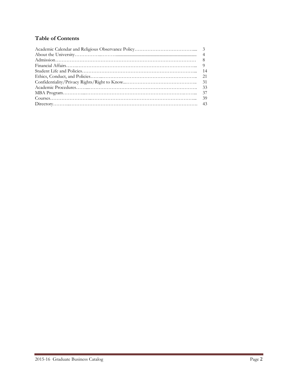# **Table of Contents**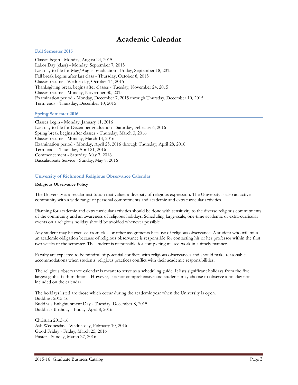# **Academic Calendar**

#### **Fall Semester 2015**

Classes begin - Monday, August 24, 2015 Labor Day (class) - Monday, September 7, 2015 Last day to file for May/August graduation - Friday, September 18, 2015 Fall break begins after last class - Thursday, October 8, 2015 Classes resume - Wednesday, October 14, 2015 Thanksgiving break begins after classes - Tuesday, November 24, 2015 Classes resume - Monday, November 30, 2015 Examination period - Monday, December 7, 2015 through Thursday, December 10, 2015 Term ends - Thursday, December 10, 2015

#### **Spring Semester 2016**

Classes begin - Monday, January 11, 2016 Last day to file for December graduation - Saturday, February 6, 2016 Spring break begins after classes - Thursday, March 3, 2016 Classes resume - Monday, March 14, 2016 Examination period - Monday, April 25, 2016 through Thursday, April 28, 2016 Term ends - Thursday, April 21, 2016 Commencement - Saturday, May 7, 2016 Baccalaureate Service - Sunday, May 8, 2016

#### **University of Richmond Religious Observance Calendar**

#### **Religious Observance Policy**

The University is a secular institution that values a diversity of religious expression. The University is also an active community with a wide range of personal commitments and academic and extracurricular activities.

Planning for academic and extracurricular activities should be done with sensitivity to the diverse religious commitments of the community and an awareness of religious holidays. Scheduling large-scale, one-time academic or extra-curricular events on a religious holiday should be avoided whenever possible.

Any student may be excused from class or other assignments because of religious observance. A student who will miss an academic obligation because of religious observance is responsible for contacting his or her professor within the first two weeks of the semester. The student is responsible for completing missed work in a timely manner.

Faculty are expected to be mindful of potential conflicts with religious observances and should make reasonable accommodations when students' religious practices conflict with their academic responsibilities.

The religious observance calendar is meant to serve as a scheduling guide. It lists significant holidays from the five largest global faith traditions. However, it is not comprehensive and students may choose to observe a holiday not included on the calendar.

The holidays listed are those which occur during the academic year when the University is open. Buddhist 2015-16 Buddha's Enlightenment Day - Tuesday, December 8, 2015 Buddha's Birthday - Friday, April 8, 2016

Christian 2015-16 Ash Wednesday - Wednesday, February 10, 2016 Good Friday - Friday, March 25, 2016 Easter - Sunday, March 27, 2016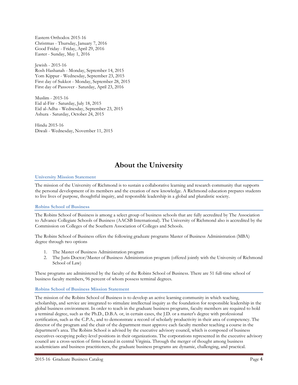Eastern Orthodox 2015-16 Christmas - Thursday, January 7, 2016 Good Friday - Friday, April 29, 2016 Easter - Sunday, May 1, 2016

Jewish - 2015-16 Rosh Hashanah - Monday, September 14, 2015 Yom Kippur - Wednesday, September 23, 2015 First day of Sukkot - Monday, September 28, 2015 First day of Passover - Saturday, April 23, 2016

Muslim - 2015-16 Eid al-Fitr - Saturday, July 18, 2015 Eid al-Adha - Wednesday, September 23, 2015 Ashura - Saturday, October 24, 2015

Hindu 2015-16 Diwali - Wednesday, November 11, 2015

# **About the University**

# **University Mission Statement**

The mission of the University of Richmond is to sustain a collaborative learning and research community that supports the personal development of its members and the creation of new knowledge. A Richmond education prepares students to live lives of purpose, thoughtful inquiry, and responsible leadership in a global and pluralistic society.

# **Robins School of Business**

The Robins School of Business is among a select group of business schools that are fully accredited by The Association to Advance Collegiate Schools of Business (AACSB International). The University of Richmond also is accredited by the Commission on Colleges of the Southern Association of Colleges and Schools.

The Robins School of Business offers the following graduate programs Master of Business Administration (MBA) degree through two options

- 1. The Master of Business Administration program
- 2. The Juris Doctor/Master of Business Administration program (offered jointly with the University of Richmond School of Law)

These programs are administered by the faculty of the Robins School of Business. There are 51 full-time school of business faculty members, 96 percent of whom possess terminal degrees.

# **Robins School of Business Mission Statement**

The mission of the Robins School of Business is to develop an active learning community in which teaching, scholarship, and service are integrated to stimulate intellectual inquiry as the foundation for responsible leadership in the global business environment. In order to teach in the graduate business programs, faculty members are required to hold a terminal degree, such as the Ph.D., D.B.A. or, in certain cases, the J.D. or a master's degree with professional certification, such as the C.P.A., and to demonstrate a record of scholarly productivity in their area of competency. The director of the program and the chair of the department must approve each faculty member teaching a course in the department's area. The Robins School is advised by the executive advisory council, which is composed of business executives occupying policy-level positions in their organizations. The corporations represented in the executive advisory council are a cross-section of firms located in central Virginia. Through the merger of thought among business academicians and business practitioners, the graduate business programs are dynamic, challenging, and practical.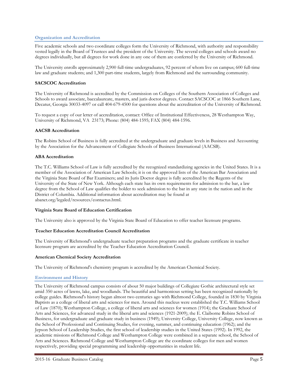# **Organization and Accreditation**

Five academic schools and two coordinate colleges form the University of Richmond, with authority and responsibility vested legally in the Board of Trustees and the president of the University. The several colleges and schools award no degrees individually, but all degrees for work done in any one of them are conferred by the University of Richmond.

The University enrolls approximately 2,900 full-time undergraduates, 92 percent of whom live on campus; 600 full-time law and graduate students; and 1,300 part-time students, largely from Richmond and the surrounding community.

#### **SACSCOC Accreditation**

The University of Richmond is accredited by the Commission on Colleges of the Southern Association of Colleges and Schools to award associate, baccalaureate, masters, and juris doctor degrees. Contact SACSCOC at 1866 Southern Lane, Decatur, Georgia 30033-4097 or call 404-679-4500 for questions about the accreditation of the University of Richmond.

To request a copy of our letter of accreditation, contact: Office of Institutional Effectiveness, 28 Westhampton Way, University of Richmond, VA 23173; Phone: (804) 484-1595; FAX (804) 484-1596.

#### **AACSB Accreditation**

The Robins School of Business is fully accredited at the undergraduate and graduate levels in Business and Accounting by the Association for the Advancement of Collegiate Schools of Business International (AACSB).

#### **ABA Accreditation**

The T.C. Williams School of Law is fully accredited by the recognized standardizing agencies in the United States. It is a member of the Association of American Law Schools; it is on the approved lists of the American Bar Association and the Virginia State Board of Bar Examiners; and its Juris Doctor degree is fully accredited by the Regents of the University of the State of New York. Although each state has its own requirements for admission to the bar, a law degree from the School of Law qualifies the holder to seek admission to the bar in any state in the nation and in the District of Columbia. Additional information about accreditation may be found at abanet.org/legaled/resources/contactus.html.

#### **Virginia State Board of Education Certification**

The University also is approved by the Virginia State Board of Education to offer teacher licensure programs.

#### **Teacher Education Accreditation Council Accreditation**

The University of Richmond's undergraduate teacher preparation programs and the graduate certificate in teacher licensure program are accredited by the Teacher Education Accreditation Council.

#### **American Chemical Society Accreditation**

The University of Richmond's chemistry program is accredited by the American Chemical Society.

## **Environment and History**

The University of Richmond campus consists of about 50 major buildings of Collegiate Gothic architectural style set amid 350 acres of lawns, lake, and woodlands. The beautiful and harmonious setting has been recognized nationally by college guides. Richmond's history began almost two centuries ago with Richmond College, founded in 1830 by Virginia Baptists as a college of liberal arts and sciences for men. Around this nucleus were established the T.C. Williams School of Law (1870); Westhampton College, a college of liberal arts and sciences for women (1914); the Graduate School of Arts and Sciences, for advanced study in the liberal arts and sciences (1921-2009); the E. Claiborne Robins School of Business, for undergraduate and graduate study in business (1949); University College, University College, now known as the School of Professional and Continuing Studies, for evening, summer, and continuing education (1962); and the Jepson School of Leadership Studies, the first school of leadership studies in the United States (1992). In 1992, the academic missions of Richmond College and Westhampton College were combined in a separate school, the School of Arts and Sciences. Richmond College and Westhampton College are the coordinate colleges for men and women respectively, providing special programming and leadership opportunities in student life.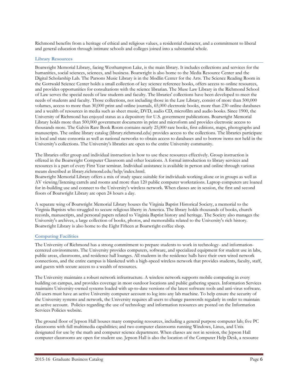Richmond benefits from a heritage of ethical and religious values, a residential character, and a commitment to liberal and general education through intimate schools and colleges joined into a substantial whole.

# **Library Resources**

Boatwright Memorial Library, facing Westhampton Lake, is the main library. It includes collections and services for the humanities, social sciences, sciences, and business. Boatwright is also home to the Media Resource Center and the Digital Scholarship Lab. The Parsons Music Library is in the Modlin Center for the Arts. The Science Reading Room in the Gottwald Science Center holds a small collection of key science reference books, offers access to online resources, and provides opportunities for consultations with the science librarian. The Muse Law Library in the Richmond School of Law serves the special needs of law students and faculty. The libraries' collections have been developed to meet the needs of students and faculty. Those collections, not including those in the Law Library, consist of more than 500,000 volumes, access to more than 30,000 print and online journals, 65,000 electronic books, more than 230 online databases and a wealth of resources in media such as sheet music, DVD, audio CD, microfilm and audio books. Since 1900, the University of Richmond has enjoyed status as a depository for U.S. government publications. Boatwright Memorial Library holds more than 500,000 government documents in print and microform and provides electronic access to thousands more. The Galvin Rare Book Room contains nearly 25,000 rare books, first editions, maps, photographs and manuscripts. The online library catalog (library.richmond.edu) provides access to the collections. The libraries participate in local and state consortia as well as national networks to obtain access to databases and to borrow items not held in the University's collections. The University's libraries are open to the entire University community.

The libraries offer group and individual instruction in how to use these resources effectively. Group instruction is offered in the Boatwright Computer Classroom and other locations. A formal introduction to library services and resources is a part of every First Year seminar. Individual assistance is available in person and online through various means described at library.richmond.edu/help/index.html.

Boatwright Memorial Library offers a mix of study space suitable for individuals working alone or in groups as well as AV viewing/listening carrels and rooms and more than 120 public computer workstations. Laptop computers are loaned for in-building use and connect to the University's wireless network. When classes are in session, the first and second floors of Boatwright Library are open 24 hours a day.

A separate wing of Boatwright Memorial Library houses the Virginia Baptist Historical Society, a memorial to the Virginia Baptists who struggled to secure religious liberty in America. The library holds thousands of books, church records, manuscripts, and personal papers related to Virginia Baptist history and heritage. The Society also manages the University's archives, a large collection of books, photos, and memorabilia related to the University's rich history. Boatwright Library is also home to the Eight Fifteen at Boatwright coffee shop.

# **Computing Facilities**

The University of Richmond has a strong commitment to prepare students to work in technology- and informationcentered environments. The University provides computers, software, and specialized equipment for student use in labs, public areas, classrooms, and residence hall lounges. All students in the residence halls have their own wired network connections, and the entire campus is blanketed with a high-speed wireless network that provides students, faculty, staff, and guests with secure access to a wealth of resources.

The University maintains a robust network infrastructure. A wireless network supports mobile computing in every building on campus, and provides coverage in most outdoor locations and public gathering spaces. Information Services maintains University-owned systems loaded with up-to-date versions of the latest software tools and anti-virus software. All users must have an active University computer account to log into any lab machine. To help ensure the security of the University systems and network, the University requires all users to change passwords regularly in order to maintain an active account. Policies regarding the use of technology and information resources are posted on the Information Services Policies website.

The ground floor of Jepson Hall houses many computing resources, including a general purpose computer lab; five PC classrooms with full multimedia capabilities; and two computer classrooms running Windows, Linux, and Unix designated for use by the math and computer science department. When classes are not in session, the Jepson Hall computer classrooms are open for student use. Jepson Hall is also the location of the Computer Help Desk, a resource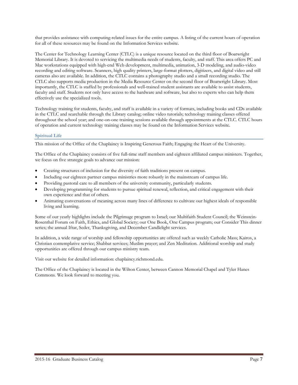that provides assistance with computing-related issues for the entire campus. A listing of the current hours of operation for all of these resources may be found on the Information Services website.

The Center for Technology Learning Center (CTLC) is a unique resource located on the third floor of Boatwright Memorial Library. It is devoted to servicing the multimedia needs of students, faculty, and staff. This area offers PC and Mac workstations equipped with high-end Web development, multimedia, animation, 3-D modeling, and audio-video recording and editing software. Scanners, high quality printers, large-format plotters, digitizers, and digital video and still cameras also are available. In addition, the CTLC contains a photography studio and a small recording studio. The CTLC also supports media production in the Media Resource Center on the second floor of Boatwright Library. Most importantly, the CTLC is staffed by professionals and well-trained student assistants are available to assist students, faculty and staff. Students not only have access to the hardware and software, but also to experts who can help them effectively use the specialized tools.

Technology training for students, faculty, and staff is available in a variety of formats, including books and CDs available in the CTLC and searchable through the Library catalog; online video tutorials; technology training classes offered throughout the school year; and one-on-one training sessions available through appointments at the CTLC. CTLC hours of operation and current technology training classes may be found on the Information Services website.

# **Spiritual Life**

This mission of the Office of the Chaplaincy is Inspiring Generous Faith; Engaging the Heart of the University.

The Office of the Chaplaincy consists of five full-time staff members and eighteen affiliated campus ministers. Together, we focus on five strategic goals to advance our mission:

- Creating structures of inclusion for the diversity of faith traditions present on campus.
- Including our eighteen partner campus ministries more robustly in the mainstream of campus life.
- Providing pastoral care to all members of the university community, particularly students.
- Developing programming for students to pursue spiritual renewal, reflection, and critical engagement with their own experience and that of others.
- Animating conversations of meaning across many lines of difference to cultivate our highest ideals of responsible living and learning.

Some of our yearly highlights include the Pilgrimage program to Israel; our Multifaith Student Council; the Weinstein-Rosenthal Forum on Faith, Ethics, and Global Society; our One Book, One Campus program; our Consider This dinner series; the annual Iftar, Seder, Thanksgiving, and December Candlelight services.

In addition, a wide range of worship and fellowship opportunities are offered such as weekly Catholic Mass; Kairos, a Christian contemplative service; Shabbat services; Muslim prayer; and Zen Meditation. Additional worship and study opportunities are offered through our campus ministry team.

Visit our website for detailed information: chaplaincy.richmond.edu.

The Office of the Chaplaincy is located in the Wilton Center, between Cannon Memorial Chapel and Tyler Hanes Commons. We look forward to meeting you.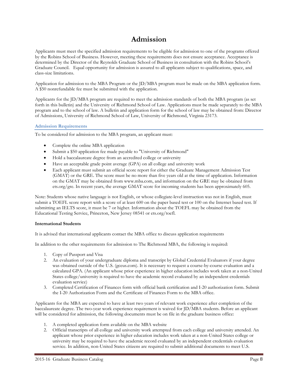# **Admission**

Applicants must meet the specified admission requirements to be eligible for admission to one of the programs offered by the Robins School of Business. However, meeting these requirements does not ensure acceptance. Acceptance is determined by the Director of the Reynolds Graduate School of Business in consultation with the Robins School's Graduate Council. Equal opportunity for admission is assured to all applicants subject to qualifications, space, and class-size limitations.

Application for admission to the MBA Program or the JD/MBA program must be made on the MBA application form. A \$50 nonrefundable fee must be submitted with the application.

Applicants for the JD/MBA program are required to meet the admission standards of both the MBA program (as set forth in this bulletin) and the University of Richmond School of Law. Applications must be made separately to the MBA program and to the school of law. A bulletin and application form for the school of law may be obtained from: Director of Admissions, University of Richmond School of Law, University of Richmond, Virginia 23173.

# **Admission Requirements**

To be considered for admission to the MBA program, an applicant must:

- Complete the online MBA application
- Submit a \$50 application fee made payable to "University of Richmond"
- Hold a baccalaureate degree from an accredited college or university
- Have an acceptable grade point average (GPA) on all college and university work
- Each applicant must submit an official score report for either the Graduate Management Admission Test (GMAT) or the GRE. The score must be no more than five years old at the time of application. Information on the GMAT may be obtained from www.mba.com, and information on the GRE may be obtained from ets.org/gre. In recent years, the average GMAT score for incoming students has been approximately 605.

Note: Students whose native language is not English, or whose collegiate-level instruction was not in English, must submit a TOEFL score report with a score of at least 600 on the paper based test or 100 on the Internet based test. If submitting an IELTS score, it must be 7 or higher. Information about the TOEFL may be obtained from the Educational Testing Service, Princeton, New Jersey 08541 or ets.org/toefl.

# **International Students**

It is advised that international applicants contact the MBA office to discuss application requirements

In addition to the other requirements for admission to The Richmond MBA, the following is required:

- 1. Copy of Passport and Visa
- 2. An evaluation of your undergraduate diploma and transcript by Global Credential Evaluators if your degree was obtained outside of the U.S. (gceus.com). It is necessary to request a course-by-course evaluation and a calculated GPA. (An applicant whose prior experience in higher education includes work taken at a non-United States college/university is required to have the academic record evaluated by an independent credentials evaluation service)
- 3. Completed Certification of Finances form with official bank certification and I-20 authorization form. Submit the I-20 Authorization Form and the Certificate of Finances Form to the MBA office.

Applicants for the MBA are expected to have at least two years of relevant work experience after completion of the baccalaureate degree. The two-year work experience requirement is waived for JD/MBA students. Before an applicant will be considered for admission, the following documents must be on file in the graduate business office:

- 1. A completed application form available on the MBA website
- 2. Official transcripts of all college and university work attempted from each college and university attended. An applicant whose prior experience in higher education includes work taken at a non-United States college or university may be required to have the academic record evaluated by an independent credentials evaluation service. In addition, non-United States citizens are required to submit additional documents to meet U.S.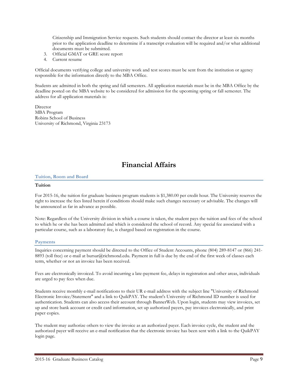Citizenship and Immigration Service requests. Such students should contact the director at least six months prior to the application deadline to determine if a transcript evaluation will be required and/or what additional documents must be submitted.

- 3. Official GMAT or GRE score report
- 4. Current resume

Official documents verifying college and university work and test scores must be sent from the institution or agency responsible for the information directly to the MBA Office.

Students are admitted in both the spring and fall semesters. All application materials must be in the MBA Office by the deadline posted on the MBA website to be considered for admission for the upcoming spring or fall semester. The address for all application materials is:

**Director** MBA Program Robins School of Business University of Richmond, Virginia 23173

# **Financial Affairs**

#### **Tuition, Room and Board**

#### **Tuition**

For 2015-16, the tuition for graduate business program students is \$1,380.00 per credit hour. The University reserves the right to increase the fees listed herein if conditions should make such changes necessary or advisable. The changes will be announced as far in advance as possible.

Note: Regardless of the University division in which a course is taken, the student pays the tuition and fees of the school to which he or she has been admitted and which is considered the school of record. Any special fee associated with a particular course, such as a laboratory fee, is charged based on registration in the course.

#### **Payments**

Inquiries concerning payment should be directed to the Office of Student Accounts, phone (804) 289-8147 or (866) 241- 8893 (toll free) or e-mail at bursar@richmond.edu. Payment in full is due by the end of the first week of classes each term, whether or not an invoice has been received.

Fees are electronically invoiced. To avoid incurring a late-payment fee, delays in registration and other areas, individuals are urged to pay fees when due.

Students receive monthly e-mail notifications to their UR e-mail address with the subject line "University of Richmond Electronic Invoice/Statement" and a link to QuikPAY. The student's University of Richmond ID number is used for authentication. Students can also access their account through BannerWeb. Upon login, students may view invoices, set up and store bank account or credit card information, set up authorized payers, pay invoices electronically, and print paper copies.

The student may authorize others to view the invoice as an authorized payer. Each invoice cycle, the student and the authorized payer will receive an e-mail notification that the electronic invoice has been sent with a link to the QuikPAY login page.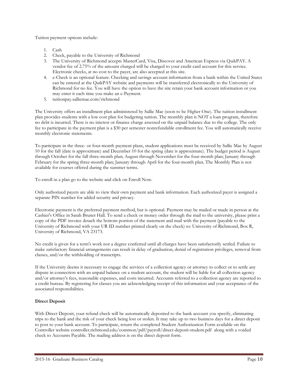Tuition payment options include:

- 1. Cash
- 2. Check, payable to the University of Richmond
- 3. The University of Richmond accepts MasterCard, Visa, Discover and American Express via QuikPAY. A vendor fee of 2.75% of the amount charged will be charged to your credit card account for this service. Electronic checks, at no cost to the payer, are also accepted at this site.
- 4. e-Check is an optional feature. Checking and savings account information from a bank within the United States can be entered at the QuikPAY website and payments will be transferred electronically to the University of Richmond for no fee. You will have the option to have the site retain your bank account information or you may enter it each time you make an e-Payment.
- 5. tuitionpay.salliemae.com/richmond

The University offers an installment plan administered by Sallie Mae (soon to be Higher One). The tuition installment plan provides students with a low cost plan for budgeting tuition. The monthly plan is NOT a loan program, therefore no debt is incurred. There is no interest or finance charge assessed on the unpaid balance due to the college. The only fee to participate in the payment plan is a \$30 per semester nonrefundable enrollment fee. You will automatically receive monthly electronic statements.

To participate in the three- or four-month payment plans, student applications must be received by Sallie Mae by August 10 for the fall (date is approximate) and December 10 for the spring (date is approximate). The budget period is August through October for the fall three-month plan; August through November for the four-month plan; January through February for the spring three-month plan; January through April for the four-month plan. The Monthly Plan is not available for courses offered during the summer terms.

To enroll in a plan go to the website and click on Enroll Now.

Only authorized payers are able to view their own payment and bank information. Each authorized payer is assigned a separate PIN number for added security and privacy.

Electronic payment is the preferred payment method, but is optional. Payment may be mailed or made in person at the Cashier's Office in Sarah Brunet Hall. To send a check or money order through the mail to the university, please print a copy of the PDF invoice detach the bottom portion of the statement and mail with the payment (payable to the University of Richmond with your UR ID number printed clearly on the check) to: University of Richmond, Box R, University of Richmond, VA 23173.

No credit is given for a term's work nor a degree conferred until all charges have been satisfactorily settled. Failure to make satisfactory financial arrangements can result in delay of graduation, denial of registration privileges, removal from classes, and/or the withholding of transcripts.

If the University deems it necessary to engage the services of a collection agency or attorney to collect or to settle any dispute in connection with an unpaid balance on a student account, the student will be liable for all collection agency and/or attorney's fees, reasonable expenses, and costs incurred. Accounts referred to a collection agency are reported to a credit bureau. By registering for classes you are acknowledging receipt of this information and your acceptance of the associated responsibilities.

# **Direct Deposit**

With Direct Deposit, your refund check will be automatically deposited to the bank account you specify, eliminating trips to the bank and the risk of your check being lost or stolen. It may take up to two business days for a direct deposit to post to your bank account. To participate, return the completed Student Authorization Form available on the Controller website controller.richmond.edu/common/pdf/payroll/direct-deposit-student.pdf along with a voided check to Accounts Payable. The mailing address is on the direct deposit form.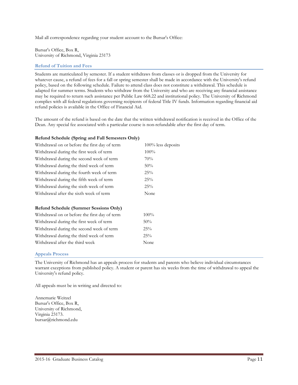Mail all correspondence regarding your student account to the Bursar's Office:

Bursar's Office, Box R, University of Richmond, Virginia 23173

# **Refund of Tuition and Fees**

Students are matriculated by semester. If a student withdraws from classes or is dropped from the University for whatever cause, a refund of fees for a fall or spring semester shall be made in accordance with the University's refund policy, based on the following schedule. Failure to attend class does not constitute a withdrawal. This schedule is adapted for summer terms. Students who withdraw from the University and who are receiving any financial assistance may be required to return such assistance per Public Law 668.22 and institutional policy. The University of Richmond complies with all federal regulations governing recipients of federal Title IV funds. Information regarding financial aid refund policies is available in the Office of Financial Aid.

The amount of the refund is based on the date that the written withdrawal notification is received in the Office of the Dean. Any special fee associated with a particular course is non-refundable after the first day of term.

# **Refund Schedule (Spring and Fall Semesters Only)**

| Withdrawal on or before the first day of term | 100% less deposits |  |  |
|-----------------------------------------------|--------------------|--|--|
| Withdrawal during the first week of term      | 100%               |  |  |
| Withdrawal during the second week of term     | 70%                |  |  |
| Withdrawal during the third week of term      | 50%                |  |  |
| Withdrawal during the fourth week of term     | 25%                |  |  |
| Withdrawal during the fifth week of term      | 25%                |  |  |
| Withdrawal during the sixth week of term      | 25%                |  |  |
| Withdrawal after the sixth week of term       | None               |  |  |
| <b>Refund Schedule (Summer Sessions Only)</b> |                    |  |  |
| Withdrawal on or before the first day of term | $100\%$            |  |  |
| Withdrawal during the first week of term      | 50%                |  |  |
| Withdrawal during the second week of term     | 25%                |  |  |
| Withdrawal during the third week of term      | 25%                |  |  |
| Withdrawal after the third week               | None               |  |  |

# **Appeals Process**

The University of Richmond has an appeals process for students and parents who believe individual circumstances warrant exceptions from published policy. A student or parent has six weeks from the time of withdrawal to appeal the University's refund policy.

All appeals must be in writing and directed to:

Annemarie Weitzel Bursar's Office, Box R, University of Richmond, Virginia 23173. bursar@richmond.edu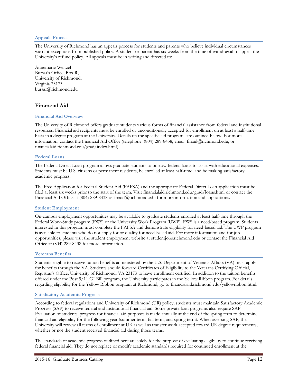## **Appeals Process**

The University of Richmond has an appeals process for students and parents who believe individual circumstances warrant exceptions from published policy. A student or parent has six weeks from the time of withdrawal to appeal the University's refund policy. All appeals must be in writing and directed to:

Annemarie Weitzel Bursar's Office, Box R, University of Richmond, Virginia 23173. bursar@richmond.edu

# **Financial Aid**

#### **Financial Aid Overview**

The University of Richmond offers graduate students various forms of financial assistance from federal and institutional resources. Financial aid recipients must be enrolled or unconditionally accepted for enrollment on at least a half-time basis in a degree program at the University. Details on the specific aid programs are outlined below. For more information, contact the Financial Aid Office (telephone: (804) 289-8438, email: finaid@richmond.edu, or financialaid.richmond.edu/grad/index.html).

#### **Federal Loans**

The Federal Direct Loan program allows graduate students to borrow federal loans to assist with educational expenses. Students must be U.S. citizens or permanent residents, be enrolled at least half-time, and be making satisfactory academic progress.

The Free Application for Federal Student Aid (FAFSA) and the appropriate Federal Direct Loan application must be filed at least six weeks prior to the start of the term. Visit financialaid.richmond.edu/grad/loans.html or contact the Financial Aid Office at (804) 289-8438 or finaid@richmond.edu for more information and applications.

#### **Student Employment**

On-campus employment opportunities may be available to graduate students enrolled at least half-time through the Federal Work-Study program (FWS) or the University Work Program (UWP). FWS is a need-based program. Students interested in this program must complete the FAFSA and demonstrate eligibility for need-based aid. The UWP program is available to students who do not apply for or qualify for need-based aid. For more information and for job opportunities, please visit the student employment website at studentjobs.richmond.edu or contact the Financial Aid Office at (804) 289-8438 for more information.

#### **Veterans Benefits**

Students eligible to receive tuition benefits administered by the U.S. Department of Veterans Affairs (VA) must apply for benefits through the VA. Students should forward Certificates of Eligibility to the Veterans Certifying Official, Registrar's Office, University of Richmond, VA 23173 to have enrollment certified. In addition to the tuition benefits offered under the Post 9/11 GI Bill program, the University participates in the Yellow Ribbon program. For details regarding eligibility for the Yellow Ribbon program at Richmond, go to financialaid.richmond.edu/yellowribbon.html.

#### **Satisfactory Academic Progress**

According to federal regulations and University of Richmond (UR) policy, students must maintain Satisfactory Academic Progress (SAP) to receive federal and institutional financial aid. Some private loan programs also require SAP. Evaluation of students' progress for financial aid purposes is made annually at the end of the spring term to determine financial aid eligibility for the following year (summer term, fall term, and spring term). When assessing SAP, the University will review all terms of enrollment at UR as well as transfer work accepted toward UR degree requirements, whether or not the student received financial aid during those terms.

The standards of academic progress outlined here are solely for the purpose of evaluating eligibility to continue receiving federal financial aid. They do not replace or modify academic standards required for continued enrollment at the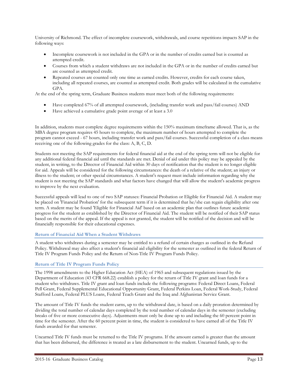University of Richmond. The effect of incomplete coursework, withdrawals, and course repetitions impacts SAP in the following ways:

- Incomplete coursework is not included in the GPA or in the number of credits earned but is counted as attempted credit.
- Courses from which a student withdraws are not included in the GPA or in the number of credits earned but are counted as attempted credit.
- Repeated courses are counted only one time as earned credits. However, credits for each course taken, including all repeated courses, are counted as attempted credit. Both grades will be calculated in the cumulative GPA.

At the end of the spring term, Graduate Business students must meet both of the following requirements:

- Have completed 67% of all attempted coursework, (including transfer work and pass/fail courses) AND
- Have achieved a cumulative grade point average of at least a 3.0

In addition, students must complete degree requirements within the 150% maximum timeframe allowed. That is, as the MBA degree program requires 45 hours to complete, the maximum number of hours attempted to complete the program cannot exceed - 67 hours, including transfer work and pass/fail courses. Successful completion of a class means receiving one of the following grades for the class: A, B, C, D.

Students not meeting the SAP requirements for federal financial aid at the end of the spring term will not be eligible for any additional federal financial aid until the standards are met. Denial of aid under this policy may be appealed by the student, in writing, to the Director of Financial Aid within 30 days of notification that the student is no longer eligible for aid. Appeals will be considered for the following circumstances: the death of a relative of the student; an injury or illness to the student; or other special circumstances. A student's request must include information regarding why the student is not meeting the SAP standards and what factors have changed that will allow the student's academic progress to improve by the next evaluation.

Successful appeals will lead to one of two SAP statuses: Financial Probation or Eligible for Financial Aid. A student may be placed on 'Financial Probation' for the subsequent term if it is determined that he/she can regain eligibility after one term. A student may be found 'Eligible for Financial Aid' based on an academic plan that outlines future academic progress for the student as established by the Director of Financial Aid. The student will be notified of their SAP status based on the merits of the appeal. If the appeal is not granted, the student will be notified of the decision and will be financially responsible for their educational expenses.

# **Return of Financial Aid When a Student Withdraws**

A student who withdraws during a semester may be entitled to a refund of certain charges as outlined in the Refund Policy. Withdrawal may also affect a student's financial aid eligibility for the semester as outlined in the federal Return of Title IV Program Funds Policy and the Return of Non-Title IV Program Funds Policy.

# **Return of Title IV Program Funds Policy**

The 1998 amendments to the Higher Education Act (HEA) of 1965 and subsequent regulations issued by the Department of Education (43 CFR 668.22) establish a policy for the return of Title IV grant and loan funds for a student who withdraws. Title IV grant and loan funds include the following programs: Federal Direct Loans, Federal Pell Grant, Federal Supplemental Educational Opportunity Grant, Federal Perkins Loan, Federal Work-Study, Federal Stafford Loans, Federal PLUS Loans, Federal Teach Grant and the Iraq and Afghanistan Service Grant.

The amount of Title IV funds the student earns, up to the withdrawal date, is based on a daily proration determined by dividing the total number of calendar days completed by the total number of calendar days in the semester (excluding breaks of five or more consecutive days). Adjustments must only be done up to and including the 60 percent point in time for the semester. After the 60 percent point in time, the student is considered to have earned all of the Title IV funds awarded for that semester.

Unearned Title IV funds must be returned to the Title IV programs. If the amount earned is greater than the amount that has been disbursed, the difference is treated as a late disbursement to the student. Unearned funds, up to the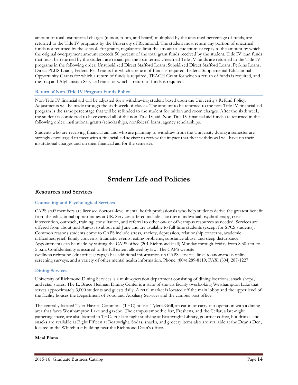amount of total institutional charges (tuition, room, and board) multiplied by the unearned percentage of funds, are returned to the Title IV programs by the University of Richmond. The student must return any portion of unearned funds not returned by the school. For grants, regulations limit the amount a student must repay to the amount by which the original overpayment amount exceeds 50 percent of the total grant funds received by the student. Title IV loan funds that must be returned by the student are repaid per the loan terms. Unearned Title IV funds are returned to the Title IV programs in the following order: Unsubsidized Direct Stafford Loans, Subsidized Direct Stafford Loans, Perkins Loans, Direct PLUS Loans, Federal Pell Grants for which a return of funds is required, Federal Supplemental Educational Opportunity Grants for which a return of funds is required, TEACH Grant for which a return of funds is required, and the Iraq and Afghanistan Service Grant for which a return of funds is required.

# **Return of Non-Title IV Program Funds Policy**

Non-Title IV financial aid will be adjusted for a withdrawing student based upon the University's Refund Policy. Adjustments will be made through the sixth week of classes. The amount to be returned to the non-Title IV financial aid program is the same percentage that will be refunded to the student for tuition and room charges. After the sixth week, the student is considered to have earned all of the non-Title IV aid. Non-Title IV financial aid funds are returned in the following order: institutional grants/scholarships, nonfederal loans, agency scholarships.

Students who are receiving financial aid and who are planning to withdraw from the University during a semester are strongly encouraged to meet with a financial aid advisor to review the impact that their withdrawal will have on their institutional charges and on their financial aid for the semester.

# **Student Life and Policies**

# **Resources and Services**

#### **Counseling and Psychological Services**

CAPS staff members are licensed doctoral-level mental health professionals who help students derive the greatest benefit from the educational opportunities at UR. Services offered include short-term individual psychotherapy, crisis intervention, outreach, training, consultation, and referral to other on- or off-campus resources as needed. Services are offered from about mid-August to about mid-June and are available to full-time students (except for SPCS students). Common reasons students come to CAPS include stress, anxiety, depression, relationship concerns, academic difficulties, grief, family concerns, traumatic events, eating problems, substance abuse, and sleep disturbance. Appointments can be made by visiting the CAPS office (201 Richmond Hall) Monday through Friday from 8:30 a.m. to 5 p.m. Confidentiality is assured to the full extent allowed by law. The CAPS website (wellness.richmond.edu/offices/caps/) has additional information on CAPS services, links to anonymous online screening surveys, and a variety of other mental health information. Phone: (804) 289-8119; FAX: (804) 287-1227.

#### **Dining Services**

University of Richmond Dining Services is a multi-operation department consisting of dining locations, snack shops, and retail stores. The E. Bruce Heilman Dining Center is a state-of-the-art facility overlooking Westhampton Lake that serves approximately 3,000 students and guests daily. A retail market is located off the main lobby and the upper level of the facility houses the Department of Food and Auxiliary Services and the campus post office.

The centrally located Tyler Haynes Commons (THC) houses Tyler's Grill, an eat-in or carry-out operation with a dining area that faces Westhampton Lake and gazebo. The campus smoothie bar, Freshens, and the Cellar, a late-night gathering space, are also located in THC. For late-night studying at Boatwright Library, gourmet coffee, hot drinks, and snacks are available at Eight Fifteen at Boatwright. Sodas, snacks, and grocery items also are available at the Dean's Den, located in the Whitehurst building near the Richmond Dean's office.

## **Meal Plans**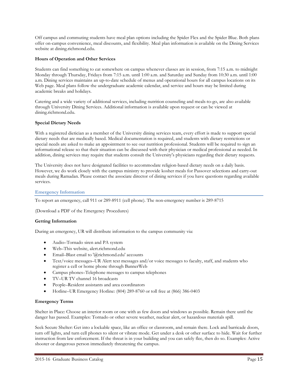Off campus and commuting students have meal plan options including the Spider Flex and the Spider Blue. Both plans offer on-campus convenience, meal discounts, and flexibility. Meal plan information is available on the Dining Services website at dining.richmond.edu.

# **Hours of Operation and Other Services**

Students can find something to eat somewhere on campus whenever classes are in session, from 7:15 a.m. to midnight Monday through Thursday, Fridays from 7:15 a.m. until 1:00 a.m. and Saturday and Sunday from 10:30 a.m. until 1:00 a.m. Dining services maintains an up-to-date schedule of menus and operational hours for all campus locations on its Web page. Meal plans follow the undergraduate academic calendar, and service and hours may be limited during academic breaks and holidays.

Catering and a wide variety of additional services, including nutrition counseling and meals-to-go, are also available through University Dining Services. Additional information is available upon request or can be viewed at dining.richmond.edu.

# **Special Dietary Needs**

With a registered dietician as a member of the University dining services team, every effort is made to support special dietary needs that are medically based. Medical documentation is required, and students with dietary restrictions or special needs are asked to make an appointment to see our nutrition professional. Students will be required to sign an informational release so that their situation can be discussed with their physician or medical professional as needed. In addition, dining services may require that students consult the University's physicians regarding their dietary requests.

The University does not have designated facilities to accommodate religion-based dietary needs on a daily basis. However, we do work closely with the campus ministry to provide kosher meals for Passover selections and carry-out meals during Ramadan. Please contact the associate director of dining services if you have questions regarding available services.

## **Emergency Information**

To report an emergency, call 911 or 289-8911 (cell phone). The non-emergency number is 289-8715

(Download a PDF of the Emergency Procedures)

#### **Getting Information**

During an emergency, UR will distribute information to the campus community via:

- Audio–Tornado siren and PA system
- Web–This website, alert.richmond.edu
- Email–Blast email to '@richmond.edu' accounts
- Text/voice messages–UR Alert text messages and/or voice messages to faculty, staff, and students who register a cell or home phone through BannerWeb
- Campus phones–Telephone messages to campus telephones
- TV–UR TV channel 16 broadcasts
- People–Resident assistants and area coordinators
- Hotline–UR Emergency Hotline: (804) 289-8760 or toll free at (866) 386-0403

#### **Emergency Terms**

Shelter in Place: Choose an interior room or one with as few doors and windows as possible. Remain there until the danger has passed. Examples: Tornado or other severe weather, nuclear alert, or hazardous materials spill.

Seek Secure Shelter: Get into a lockable space, like an office or classroom, and remain there. Lock and barricade doors, turn off lights, and turn cell phones to silent or vibrate mode. Get under a desk or other surface to hide. Wait for further instruction from law enforcement. If the threat is in your building and you can safely flee, then do so. Examples: Active shooter or dangerous person immediately threatening the campus.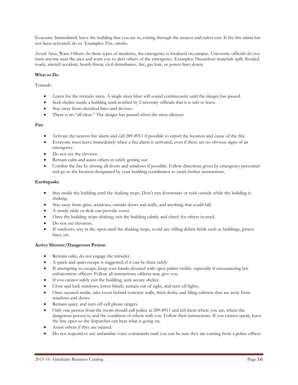Evacuate: Immediately leave the building that you are in, exiting through the nearest and safest exit. If the fire alarm has not been activated, do so. Examples: Fire, smoke.

Avoid Area, Warn Others: In these types of incidents, the emergency is localized on campus. University officials do not want anyone near the area and want you to alert others of the emergency. Examples: Hazardous materials spill, flooded roads, aircraft accident, bomb threat, civil disturbance, fire, gas leak, or power lines down.

# **What to Do**

Tornado

- Listen for the tornado siren. A single siren blast will sound continuously until the danger has passed.
- Seek shelter inside a building until notified by University officials that it is safe to leave.
- Stay away from electrical lines and devices.
- There is no "all-clear." The danger has passed when the siren silences.

# **Fire**

- Activate the nearest fire alarm and call 289-8911 if possible to report the location and cause of the fire.
- Everyone must leave immediately when a fire alarm is activated, even if there are no obvious signs of an emergency.
- Do not use the elevator.
- Remain calm and assist others in safely getting out.
- Confine the fire by closing all doors and windows if possible. Follow directions given by emergency personnel and go to the location designated by your building coordinator to await further instructions.

# **Earthquake**

- Stay inside the building until the shaking stops. Don't run downstairs or rush outside while the building is shaking.
- Stay away from glass, windows, outside doors and walls, and anything that could fall.
- A sturdy table or desk can provide cover.
- Once the building stops shaking, exit the building calmly and check for others in need.
- Do not use elevators.
- If outdoors, stay in the open until the shaking stops, avoid any falling debris fields such as buildings, power lines, etc.

# **Active Shooter/Dangerous Person**

- Remain calm, do not engage the intruder.
- A quick and quiet escape is suggested, if it can be done safely.
- If attempting to escape, keep your hands elevated with open palms visible, especially if encountering law enforcement officers. Follow all instructions officers may give you.
- If you cannot safely exit the building, seek secure shelter.
- Close and lock windows, lower blinds, remain out of sight, and turn off lights.
- Once secured inside, take cover behind concrete walls, thick desks, and filing cabinets that are away from windows and doors.
- Remain quiet, and turn off cell phone ringers.
- Only one person from the room should call police at 289-8911 and tell them where you are, where the dangerous person is, and the condition of others with you. Follow their instructions. If you cannot speak, leave the line open so the dispatcher can hear what is going on.
- Assist others if they are injured.
- Do not respond to any unfamiliar voice commands until you can be sure they are coming from a police officer.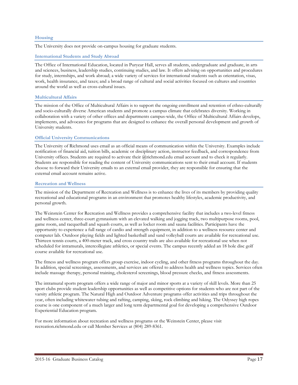# **Housing**

The University does not provide on-campus housing for graduate students.

#### **International Students and Study Abroad**

The Office of International Education, located in Puryear Hall, serves all students, undergraduate and graduate, in arts and sciences, business, leadership studies, continuing studies, and law. It offers advising on opportunities and procedures for study, internships, and work abroad; a wide variety of services for international students such as orientation, visas, work, health insurance, and taxes; and a broad range of cultural and social activities focused on cultures and countries around the world as well as cross-cultural issues.

# **Multicultural Affairs**

The mission of the Office of Multicultural Affairs is to support the ongoing enrollment and retention of ethno-culturally and socio-culturally diverse American students and promote a campus climate that celebrates diversity. Working in collaboration with a variety of other offices and departments campus-wide, the Office of Multicultural Affairs develops, implements, and advocates for programs that are designed to enhance the overall personal development and growth of University students.

# **Official University Communications**

The University of Richmond uses email as an official means of communication within the University. Examples include notification of financial aid, tuition bills, academic or disciplinary action, instructor feedback, and correspondence from University offices. Students are required to activate their @richmond.edu email account and to check it regularly. Students are responsible for reading the content of University communications sent to their email account. If students choose to forward their University emails to an external email provider, they are responsible for ensuring that the external email account remains active.

# **Recreation and Wellness**

The mission of the Department of Recreation and Wellness is to enhance the lives of its members by providing quality recreational and educational programs in an environment that promotes healthy lifestyles, academic productivity, and personal growth.

The Weinstein Center for Recreation and Wellness provides a comprehensive facility that includes a two-level fitness and wellness center, three-court gymnasium with an elevated walking and jogging track, two multipurpose rooms, pool, game room, and racquetball and squash courts, as well as locker room and sauna facilities. Participants have the opportunity to experience a full range of cardio and strength equipment, in addition to a wellness resource center and computer lab. Outdoor playing fields and lighted basketball and sand volleyball courts are available for recreational use. Thirteen tennis courts, a 400-meter track, and cross country trails are also available for recreational use when not scheduled for intramurals, intercollegiate athletics, or special events. The campus recently added an 18 hole disc golf course available for recreational use.

The fitness and wellness program offers group exercise, indoor cycling, and other fitness programs throughout the day. In addition, special screenings, assessments, and services are offered to address health and wellness topics. Services often include massage therapy, personal training, cholesterol screenings, blood pressure checks, and fitness assessments.

The intramural sports program offers a wide range of major and minor sports at a variety of skill levels. More than 25 sport clubs provide student leadership opportunities as well as competitive options for students who are not part of the varsity athletic program. The Natural High and Outdoor Adventure programs offer activities and trips throughout the year, often including whitewater tubing and rafting, camping, skiing, rock climbing and hiking. The Odyssey high ropes course is one component of a much larger and long term departmental goal for developing a comprehensive Outdoor Experiential Education program.

For more information about recreation and wellness programs or the Weinstein Center, please visit recreation.richmond.edu or call Member Services at (804) 289-8361.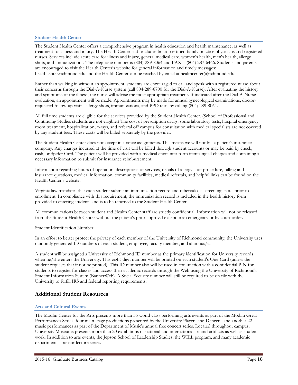# **Student Health Center**

The Student Health Center offers a comprehensive program in health education and health maintenance, as well as treatment for illness and injury. The Health Center staff includes board-certified family practice physicians and registered nurses. Services include acute care for illness and injury, general medical care, women's health, men's health, allergy shots, and immunizations. The telephone number is (804) 289-8064 and FAX is (804) 287-6466. Students and parents are encouraged to visit the Health Center's website for general information and timely messages: healthcenter.richmond.edu and the Health Center can be reached by email at healthcenter@richmond.edu.

Rather than walking in without an appointment, students are encouraged to call and speak with a registered nurse about their concerns through the Dial-A-Nurse system (call 804-289-8700 for the Dial-A-Nurse). After evaluating the history and symptoms of the illness, the nurse will advise the most appropriate treatment. If indicated after the Dial-A-Nurse evaluation, an appointment will be made. Appointments may be made for annual gynecological examinations, doctorrequested follow-up visits, allergy shots, immunizations, and PPD tests by calling (804) 289-8064.

All full time students are eligible for the services provided by the Student Health Center. (School of Professional and Continuing Studies students are not eligible.) The cost of prescription drugs, some laboratory tests, hospital emergency room treatment, hospitalization, x-rays, and referral off campus for consultation with medical specialists are not covered by any student fees. These costs will be billed separately by the provider.

The Student Health Center does not accept insurance assignments. This means we will not bill a patient's insurance company. Any charges incurred at the time of visit will be billed through student accounts or may be paid by check, cash, or Spider Card. The patient will be provided with a medical encounter form itemizing all charges and containing all necessary information to submit for insurance reimbursement.

Information regarding hours of operation, descriptions of services, details of allergy shot procedure, billing and insurance questions, medical information, community facilities, medical referrals, and helpful links can be found on the Health Center's website.

Virginia law mandates that each student submit an immunization record and tuberculosis screening status prior to enrollment. In compliance with this requirement, the immunization record is included in the health history form provided to entering students and is to be returned to the Student Health Center.

All communications between student and Health Center staff are strictly confidential. Information will not be released from the Student Health Center without the patient's prior approval except in an emergency or by court order.

Student Identification Number

In an effort to better protect the privacy of each member of the University of Richmond community, the University uses randomly generated ID numbers of each student, employee, faculty member, and alumnus/a.

A student will be assigned a University of Richmond ID number as the primary identification for University records when he/she enters the University. This eight-digit number will be printed on each student's One-Card (unless the student requests that it not be printed). This ID number also will be used in conjunction with a confidential PIN for students to register for classes and access their academic records through the Web using the University of Richmond's Student Information System (BannerWeb). A Social Security number will still be required to be on file with the University to fulfill IRS and federal reporting requirements.

# **Additional Student Resources**

# **Arts and Cultural Events**

The Modlin Center for the Arts presents more than 35 world-class performing arts events as part of the Modlin Great Performances Series, four main-stage productions presented by the University Players and Dancers, and another 22 music performances as part of the Department of Music's annual free concert series. Located throughout campus, University Museums presents more than 20 exhibitions of national and international art and artifacts as well as student work. In addition to arts events, the Jepson School of Leadership Studies, the WILL program, and many academic departments sponsor lecture series.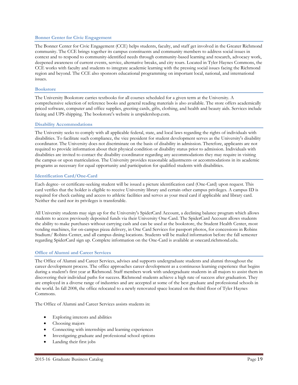## **Bonner Center for Civic Engagement**

The Bonner Center for Civic Engagement (CCE) helps students, faculty, and staff get involved in the Greater Richmond community. The CCE brings together its campus constituents and community members to address social issues in context and to respond to community-identified needs through community-based learning and research, advocacy work, deepened awareness of current events, service, alternative breaks, and city tours. Located in Tyler Haynes Commons, the CCE works with faculty and students to integrate academic learning with the pressing social issues facing the Richmond region and beyond. The CCE also sponsors educational programming on important local, national, and international issues.

#### **Bookstore**

The University Bookstore carries textbooks for all courses scheduled for a given term at the University. A comprehensive selection of reference books and general reading materials is also available. The store offers academically priced software, computer and office supplies, greeting cards, gifts, clothing, and health and beauty aids. Services include faxing and UPS shipping. The bookstore's website is urspidershop.com.

# **Disability Accommodations**

The University seeks to comply with all applicable federal, state, and local laws regarding the rights of individuals with disabilities. To facilitate such compliance, the vice president for student development serves as the University's disability coordinator. The University does not discriminate on the basis of disability in admission. Therefore, applicants are not required to provide information about their physical condition or disability status prior to admission. Individuals with disabilities are invited to contact the disability coordinator regarding any accommodations they may require in visiting the campus or upon matriculation. The University provides reasonable adjustments or accommodations in its academic programs as necessary for equal opportunity and participation for qualified students with disabilities.

# **Identification Card/One-Card**

Each degree- or certificate-seeking student will be issued a picture identification card (One-Card) upon request. This card verifies that the holder is eligible to receive University library and certain other campus privileges. A campus ID is required for check cashing and access to athletic facilities and serves as your meal card if applicable and library card. Neither the card nor its privileges is transferable.

All University students may sign up for the University's SpiderCard Account, a declining balance program which allows students to access previously deposited funds via their University One-Card. The SpiderCard Account allows students the ability to make purchases without carrying cash and can be used at the bookstore, the Student Health Center, most vending machines, for on-campus pizza delivery, in One Card Services for passport photos, for concessions in Robins Stadium/ Robins Center, and all campus dining locations. Students will be mailed information before the fall semester regarding SpiderCard sign up. Complete information on the One-Card is available at onecard.richmond.edu.

# **Office of Alumni and Career Services**

The Office of Alumni and Career Services, advises and supports undergraduate students and alumni throughout the career development process. The office approaches career development as a continuous learning experience that begins during a student's first year at Richmond. Staff members work with undergraduate students in all majors to assist them in discovering their individual paths for success. Richmond students achieve a high rate of success after graduation. They are employed in a diverse range of industries and are accepted at some of the best graduate and professional schools in the world. In fall 2008, the office relocated to a newly renovated space located on the third floor of Tyler Haynes Commons.

The Office of Alumni and Career Services assists students in:

- Exploring interests and abilities
- Choosing majors
- Connecting with internships and learning experiences
- Investigating graduate and professional school options
- Landing their first jobs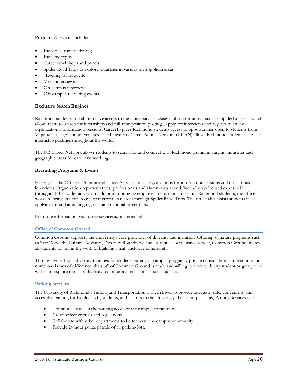Programs & Events include:

- Individual career advising
- Industry expos
- Career workshops and panels
- Spider Road Trips to explore industries in various metropolitan areas
- "Evening of Etiquette"
- Mock interviews
- On-campus interviews
- Off-campus recruiting events

# **Exclusive Search Engines**

Richmond students and alumni have access to the University's exclusive job opportunity database, SpiderConnect, which allows them to search for internships and full-time position postings, apply for interviews and register to attend organizational information sessions. Career15 gives Richmond students access to opportunities open to students from Virginia's colleges and universities. The University Career Action Network (UCAN) allows Richmond students access to internship postings throughout the world.

The UR Career Network allows students to search for and connect with Richmond alumni in varying industries and geographic areas for career networking.

# **Recruiting Programs & Events**

Every year, the Office of Alumni and Career Services hosts organizations for information sessions and on-campus interviews. Organization representatives, professionals and alumni also attend five industry-focused expos held throughout the academic year. In addition to bringing employers on campus to recruit Richmond students, the office works to bring students to major metropolitan areas through Spider Road Trips. The office also assists students in applying for and attending regional and national career fairs.

For more information, visit careerservices@richmond.edu.

# **Office of Common Ground**

Common Ground supports the University's core principles of diversity and inclusion. Offering signature programs such as Safe Zone, the Cultural Advisors, Diversity Roundtable and an annual social justice retreat, Common Ground invites all students to join in the work of building a truly inclusive community.

Through workshops, diversity trainings for student leaders, all-campus programs, private consultation, and resources on numerous issues of difference, the staff of Common Ground is ready and willing to work with any student or group who wishes to explore topics of diversity, community, inclusion, or social justice.

# **Parking Services**

The University of Richmond's Parking and Transportation Office strives to provide adequate, safe, convenient, and accessible parking for faculty, staff, students, and visitors to the University. To accomplish this, Parking Services will:

- Continuously assess the parking needs of the campus community.
- Create effective rules and regulations.
- Collaborate with other departments to better serve the campus community.
- Provide 24-hour police patrols of all parking lots.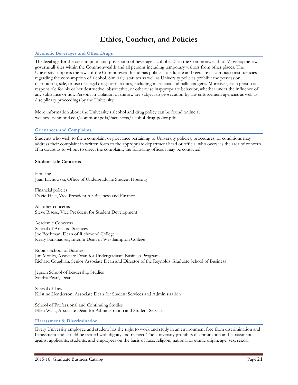# **Ethics, Conduct, and Policies**

# **Alcoholic Beverages and Other Drugs**

The legal age for the consumption and possession of beverage alcohol is 21 in the Commonwealth of Virginia; the law governs all sites within the Commonwealth and all persons including temporary visitors from other places. The University supports the laws of the Commonwealth and has policies to educate and regulate its campus constituencies regarding the consumption of alcohol. Similarly, statutes as well as University policies prohibit the possession, distribution, sale, or use of illegal drugs or narcotics, including marijuana and hallucinogens. Moreover, each person is responsible for his or her destructive, obstructive, or otherwise inappropriate behavior, whether under the influence of any substance or not. Persons in violation of the law are subject to prosecution by law enforcement agencies as well as disciplinary proceedings by the University.

More information about the University's alcohol and drug policy can be found online at wellness.richmond.edu/common/pdfs/factsheets/alcohol-drug-policy.pdf

#### **Grievances and Complaints**

Students who wish to file a complaint or grievance pertaining to University policies, procedures, or conditions may address their complaint in written form to the appropriate department head or official who oversees the area of concern. If in doubt as to whom to direct the complaint, the following officials may be contacted:

#### **Student Life Concerns**

Housing Joan Lachowski, Office of Undergraduate Student Housing

Financial policies David Hale, Vice President for Business and Finance

All other concerns Steve Bisese, Vice President for Student Development

Academic Concerns School of Arts and Sciences Joe Boehman, Dean of Richmond College Kerry Fankhauser, Interim Dean of Westhampton College

Robins School of Business Jim Monks, Associate Dean for Undergraduate Business Programs Richard Coughlan, Senior Associate Dean and Director of the Reynolds Graduate School of Business

Jepson School of Leadership Studies Sandra Peart, Dean

School of Law Kristine Henderson, Associate Dean for Student Services and Administration

School of Professional and Continuing Studies Ellen Walk, Associate Dean for Administration and Student Services

#### **Harassment & Discrimination**

Every University employee and student has the right to work and study in an environment free from discrimination and harassment and should be treated with dignity and respect. The University prohibits discrimination and harassment against applicants, students, and employees on the basis of race, religion, national or ethnic origin, age, sex, sexual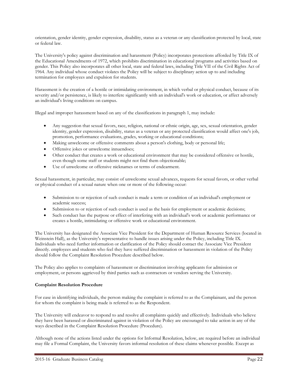orientation, gender identity, gender expression, disability, status as a veteran or any classification protected by local, state or federal law.

The University's policy against discrimination and harassment (Policy) incorporates protections afforded by Title IX of the Educational Amendments of 1972, which prohibits discrimination in educational programs and activities based on gender. This Policy also incorporates all other local, state and federal laws, including Title VII of the Civil Rights Act of 1964. Any individual whose conduct violates the Policy will be subject to disciplinary action up to and including termination for employees and expulsion for students.

Harassment is the creation of a hostile or intimidating environment, in which verbal or physical conduct, because of its severity and/or persistence, is likely to interfere significantly with an individual's work or education, or affect adversely an individual's living conditions on campus.

Illegal and improper harassment based on any of the classifications in paragraph 1, may include:

- Any suggestion that sexual favors, race, religion, national or ethnic origin, age, sex, sexual orientation, gender identity, gender expression, disability, status as a veteran or any protected classification would affect one's job, promotion, performance evaluations, grades, working or educational conditions;
- Making unwelcome or offensive comments about a person's clothing, body or personal life;
- Offensive jokes or unwelcome innuendoes;
- Other conduct that creates a work or educational environment that may be considered offensive or hostile, even though some staff or students might not find them objectionable;
- Use of unwelcome or offensive nicknames or terms of endearment.

Sexual harassment, in particular, may consist of unwelcome sexual advances, requests for sexual favors, or other verbal or physical conduct of a sexual nature when one or more of the following occur:

- Submission to or rejection of such conduct is made a term or condition of an individual's employment or academic success;
- Submission to or rejection of such conduct is used as the basis for employment or academic decisions;
- Such conduct has the purpose or effect of interfering with an individual's work or academic performance or creates a hostile, intimidating or offensive work or educational environment.

The University has designated the Associate Vice President for the Department of Human Resource Services (located in Weinstein Hall), as the University's representative to handle issues arising under the Policy, including Title IX. Individuals who need further information or clarification of the Policy should contact the Associate Vice President directly. employees and students who feel they have suffered discrimination or harassment in violation of the Policy should follow the Complaint Resolution Procedure described below.

The Policy also applies to complaints of harassment or discrimination involving applicants for admission or employment, or persons aggrieved by third parties such as contractors or vendors serving the University.

# **Complaint Resolution Procedure**

For ease in identifying individuals, the person making the complaint is referred to as the Complainant, and the person for whom the complaint is being made is referred to as the Respondent.

The University will endeavor to respond to and resolve all complaints quickly and effectively. Individuals who believe they have been harassed or discriminated against in violation of the Policy are encouraged to take action in any of the ways described in the Complaint Resolution Procedure (Procedure).

Although none of the actions listed under the options for Informal Resolution, below, are required before an individual may file a Formal Complaint, the University favors informal resolution of these claims whenever possible. Except as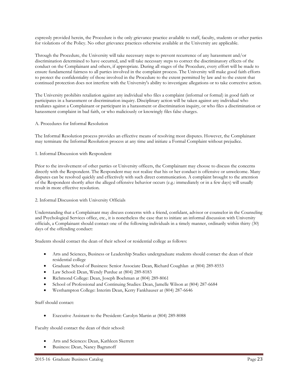expressly provided herein, the Procedure is the only grievance practice available to staff, faculty, students or other parties for violations of the Policy. No other grievance practices otherwise available at the University are applicable.

Through the Procedure, the University will take necessary steps to prevent recurrence of any harassment and/or discrimination determined to have occurred, and will take necessary steps to correct the discriminatory effects of the conduct on the Complainant and others, if appropriate. During all stages of the Procedure, every effort will be made to ensure fundamental fairness to all parties involved in the complaint process. The University will make good faith efforts to protect the confidentiality of those involved in the Procedure to the extent permitted by law and to the extent that continued protection does not interfere with the University's ability to investigate allegations or to take corrective action.

The University prohibits retaliation against any individual who files a complaint (informal or formal) in good faith or participates in a harassment or discrimination inquiry. Disciplinary action will be taken against any individual who retaliates against a Complainant or participant in a harassment or discrimination inquiry, or who files a discrimination or harassment complaint in bad faith, or who maliciously or knowingly files false charges.

# A. Procedures for Informal Resolution

The Informal Resolution process provides an effective means of resolving most disputes. However, the Complainant may terminate the Informal Resolution process at any time and initiate a Formal Complaint without prejudice.

# 1. Informal Discussion with Respondent

Prior to the involvement of other parties or University officers, the Complainant may choose to discuss the concerns directly with the Respondent. The Respondent may not realize that his or her conduct is offensive or unwelcome. Many disputes can be resolved quickly and effectively with such direct communication. A complaint brought to the attention of the Respondent shortly after the alleged offensive behavior occurs (e.g.: immediately or in a few days) will usually result in more effective resolution.

# 2. Informal Discussion with University Officials

Understanding that a Complainant may discuss concerns with a friend, confidant, advisor or counselor in the Counseling and Psychological Services office, etc., it is nonetheless the case that to initiate an informal discussion with University officials, a Complainant should contact one of the following individuals in a timely manner, ordinarily within thirty (30) days of the offending conduct:

Students should contact the dean of their school or residential college as follows:

- Arts and Sciences, Business or Leadership Studies undergraduate students should contact the dean of their residential college
- Graduate School of Business: Senior Associate Dean, Richard Coughlan at (804) 289-8553
- Law School: Dean, Wendy Purdue at (804) 289-8183
- Richmond College: Dean, Joseph Boehman at (804) 289-8061
- School of Professional and Continuing Studies: Dean, Jamelle Wilson at (804) 287-6684
- Westhampton College: Interim Dean, Kerry Fankhauser at (804) 287-6646

Staff should contact:

• Executive Assistant to the President: Carolyn Martin at (804) 289-8088

Faculty should contact the dean of their school:

- Arts and Sciences: Dean, Kathleen Skerrett
- Business: Dean, Nancy Bagranoff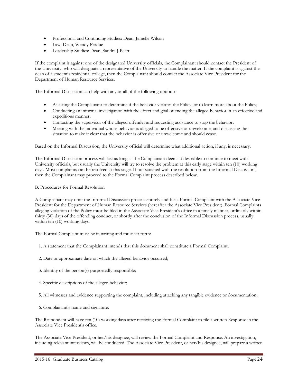- Professional and Continuing Studies: Dean, Jamelle Wilson
- Law: Dean, Wendy Perdue
- Leadership Studies: Dean, Sandra J Peart

If the complaint is against one of the designated University officials, the Complainant should contact the President of the University, who will designate a representative of the University to handle the matter. If the complaint is against the dean of a student's residential college, then the Complainant should contact the Associate Vice President for the Department of Human Resource Services.

The Informal Discussion can help with any or all of the following options:

- Assisting the Complainant to determine if the behavior violates the Policy, or to learn more about the Policy;
- Conducting an informal investigation with the effect and goal of ending the alleged behavior in an effective and expeditious manner;
- Contacting the supervisor of the alleged offender and requesting assistance to stop the behavior;
- Meeting with the individual whose behavior is alleged to be offensive or unwelcome, and discussing the situation to make it clear that the behavior is offensive or unwelcome and should cease.

Based on the Informal Discussion, the University official will determine what additional action, if any, is necessary.

The Informal Discussion process will last as long as the Complainant deems it desirable to continue to meet with University officials, but usually the University will try to resolve the problem at this early stage within ten (10) working days. Most complaints can be resolved at this stage. If not satisfied with the resolution from the Informal Discussion, then the Complainant may proceed to the Formal Complaint process described below.

B. Procedures for Formal Resolution

A Complainant may omit the Informal Discussion process entirely and file a Formal Complaint with the Associate Vice President for the Department of Human Resource Services (hereafter the Associate Vice President). Formal Complaints alleging violation of the Policy must be filed in the Associate Vice President's office in a timely manner, ordinarily within thirty (30) days of the offending conduct, or shortly after the conclusion of the Informal Discussion process, usually within ten  $(10)$  working days.

The Formal Complaint must be in writing and must set forth:

- 1. A statement that the Complainant intends that this document shall constitute a Formal Complaint;
- 2. Date or approximate date on which the alleged behavior occurred;
- 3. Identity of the person(s) purportedly responsible;
- 4. Specific descriptions of the alleged behavior;
- 5. All witnesses and evidence supporting the complaint, including attaching any tangible evidence or documentation;
- 6. Complainant's name and signature.

The Respondent will have ten (10) working days after receiving the Formal Complaint to file a written Response in the Associate Vice President's office.

The Associate Vice President, or her/his designee, will review the Formal Complaint and Response. An investigation, including relevant interviews, will be conducted. The Associate Vice President, or her/his designee, will prepare a written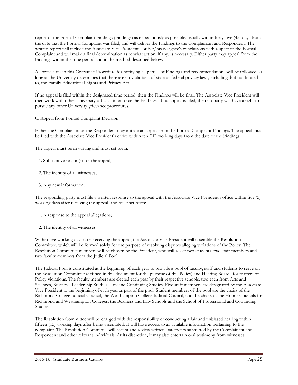report of the Formal Complaint Findings (Findings) as expeditiously as possible, usually within forty-five (45) days from the date that the Formal Complaint was filed, and will deliver the Findings to the Complainant and Respondent. The written report will include the Associate Vice President's or her/his designee's conclusions with respect to the Formal Complaint and will make a final determination as to what action, if any, is necessary. Either party may appeal from the Findings within the time period and in the method described below.

All provisions in this Grievance Procedure for notifying all parties of Findings and recommendations will be followed so long as the University determines that there are no violations of state or federal privacy laws, including, but not limited to, the Family Educational Rights and Privacy Act.

If no appeal is filed within the designated time period, then the Findings will be final. The Associate Vice President will then work with other University officials to enforce the Findings. If no appeal is filed, then no party will have a right to pursue any other University grievance procedures.

C. Appeal from Formal Complaint Decision

Either the Complainant or the Respondent may initiate an appeal from the Formal Complaint Findings. The appeal must be filed with the Associate Vice President's office within ten (10) working days from the date of the Findings.

The appeal must be in writing and must set forth:

- 1. Substantive reason(s) for the appeal;
- 2. The identity of all witnesses;
- 3. Any new information.

The responding party must file a written response to the appeal with the Associate Vice President's office within five (5) working days after receiving the appeal, and must set forth:

- 1. A response to the appeal allegations;
- 2. The identity of all witnesses.

Within five working days after receiving the appeal, the Associate Vice President will assemble the Resolution Committee, which will be formed solely for the purpose of resolving disputes alleging violations of the Policy. The Resolution Committee members will be chosen by the President, who will select two students, two staff members and two faculty members from the Judicial Pool.

The Judicial Pool is constituted at the beginning of each year to provide a pool of faculty, staff and students to serve on the Resolution Committee (defined in this document for the purpose of this Policy) and Hearing Boards for matters of Policy violations. The faculty members are elected each year by their respective schools, two each from Arts and Sciences, Business, Leadership Studies, Law and Continuing Studies. Five staff members are designated by the Associate Vice President at the beginning of each year as part of the pool. Student members of the pool are the chairs of the Richmond College Judicial Council, the Westhampton College Judicial Council, and the chairs of the Honor Councils for Richmond and Westhampton Colleges, the Business and Law Schools and the School of Professional and Continuing Studies.

The Resolution Committee will be charged with the responsibility of conducting a fair and unbiased hearing within fifteen (15) working days after being assembled. It will have access to all available information pertaining to the complaint. The Resolution Committee will accept and review written statements submitted by the Complainant and Respondent and other relevant individuals. At its discretion, it may also entertain oral testimony from witnesses.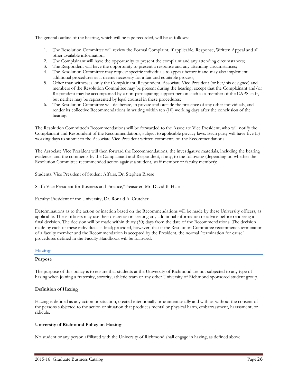The general outline of the hearing, which will be tape recorded, will be as follows:

- 1. The Resolution Committee will review the Formal Complaint, if applicable, Response, Written Appeal and all other available information;
- 2. The Complainant will have the opportunity to present the complaint and any attending circumstances;
- 3. The Respondent will have the opportunity to present a response and any attending circumstances;
- 4. The Resolution Committee may request specific individuals to appear before it and may also implement additional procedures as it deems necessary for a fair and equitable process;
- 5. Other than witnesses, only the Complainant, Respondent, Associate Vice President (or her/his designee) and members of the Resolution Committee may be present during the hearing; except that the Complainant and/or Respondent may be accompanied by a non-participating support person such as a member of the CAPS staff, but neither may be represented by legal counsel in these procedures;
- 6. The Resolution Committee will deliberate, in private and outside the presence of any other individuals, and render its collective Recommendations in writing within ten (10) working days after the conclusion of the hearing.

The Resolution Committee's Recommendations will be forwarded to the Associate Vice President, who will notify the Complainant and Respondent of the Recommendations, subject to applicable privacy laws. Each party will have five (5) working days to submit to the Associate Vice President written comments on the Recommendations.

The Associate Vice President will then forward the Recommendations, the investigative materials, including the hearing evidence, and the comments by the Complainant and Respondent, if any, to the following (depending on whether the Resolution Committee recommended action against a student, staff member or faculty member):

Students: Vice President of Student Affairs, Dr. Stephen Bisese

Staff: Vice President for Business and Finance/Treasurer, Mr. David B. Hale

Faculty: President of the University, Dr. Ronald A. Crutcher

Determinations as to the action or inaction based on the Recommendations will be made by these University officers, as applicable. These officers may use their discretion in seeking any additional information or advice before rendering a final decision. The decision will be made within thirty (30) days from the date of the Recommendations. The decision made by each of these individuals is final; provided, however, that if the Resolution Committee recommends termination of a faculty member and the Recommendation is accepted by the President, the normal "termination for cause" procedures defined in the Faculty Handbook will be followed.

# **Hazing**

#### **Purpose**

The purpose of this policy is to ensure that students at the University of Richmond are not subjected to any type of hazing when joining a fraternity, sorority, athletic team or any other University of Richmond sponsored student group.

# **Definition of Hazing**

Hazing is defined as any action or situation, created intentionally or unintentionally and with or without the consent of the persons subjected to the action or situation that produces mental or physical harm, embarrassment, harassment, or ridicule.

# **University of Richmond Policy on Hazing**

No student or any person affiliated with the University of Richmond shall engage in hazing, as defined above.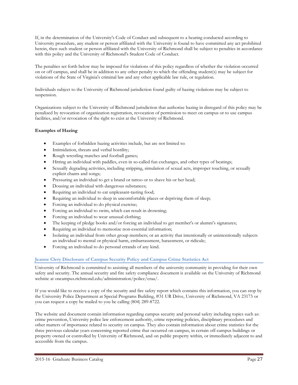If, in the determination of the University's Code of Conduct and subsequent to a hearing conducted according to University procedure, any student or person affiliated with the University is found to have committed any act prohibited herein, then such student or person affiliated with the University of Richmond shall be subject to penalties in accordance with this policy and the University of Richmond's Student Code of Conduct.

The penalties set forth below may be imposed for violations of this policy regardless of whether the violation occurred on or off campus, and shall be in addition to any other penalty to which the offending student(s) may be subject for violations of the State of Virginia's criminal law and any other applicable law rule, or regulation.

Individuals subject to the University of Richmond jurisdiction found guilty of hazing violations may be subject to suspension.

Organizations subject to the University of Richmond jurisdiction that authorize hazing in disregard of this policy may be penalized by revocation of organization registration, revocation of permission to meet on campus or to use campus facilities, and/or revocation of the right to exist at the University of Richmond.

# **Examples of Hazing**

- Examples of forbidden hazing activities include, but are not limited to:
- Intimidation, threats and verbal hostility;
- Rough wrestling matches and football games;
- Hitting an individual with paddles, even in so-called fun exchanges, and other types of beatings;
- Sexually degrading activities, including stripping, simulation of sexual acts, improper touching, or sexually explicit chants and songs;
- Pressuring an individual to get a brand or tattoo or to shave his or her head;
- Dousing an individual with dangerous substances;
- Requiring an individual to eat unpleasant-tasting food;
- Requiring an individual to sleep in uncomfortable places or depriving them of sleep;
- Forcing an individual to do physical exercise;
- Forcing an individual to swim, which can result in drowning;
- Forcing an individual to wear unusual clothing;
- The keeping of pledge books and/or forcing an individual to get member's or alumni's signatures;
- Requiring an individual to memorize non-essential information;
- Isolating an individual from other group members; or an activity that intentionally or unintentionally subjects an individual to mental or physical harm, embarrassment, harassment, or ridicule;
- Forcing an individual to do personal errands of any kind.

# **Jeanne Clery Disclosure of Campus Security Policy and Campus Crime Statistics Act**

University of Richmond is committed to assisting all members of the university community in providing for their own safety and security. The annual security and fire safety compliance document is available on the University of Richmond website at oncampus.richmond.edu/administration/police/craa/.

If you would like to receive a copy of the security and fire safety report which contains this information, you can stop by the University Police Department at Special Programs Building, #31 UR Drive, University of Richmond, VA 23173 or you can request a copy be mailed to you be calling (804) 289-8722.

The website and document contain information regarding campus security and personal safety including topics such as: crime prevention, University police law enforcement authority, crime reporting policies, disciplinary procedures and other matters of importance related to security on campus. They also contain information about crime statistics for the three previous calendar years concerning reported crime that occurred on campus, in certain off-campus buildings or property owned or controlled by University of Richmond, and on public property within, or immediately adjacent to and accessible from the campus.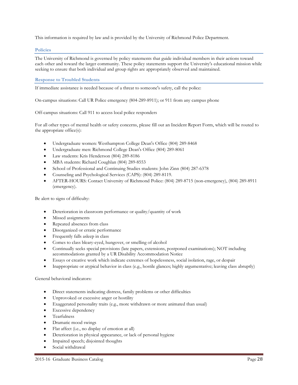This information is required by law and is provided by the University of Richmond Police Department.

## **Policies**

The University of Richmond is governed by policy statements that guide individual members in their actions toward each other and toward the larger community. These policy statements support the University's educational mission while seeking to ensure that both individual and group rights are appropriately observed and maintained.

# **Response to Troubled Students**

If immediate assistance is needed because of a threat to someone's safety, call the police:

On-campus situations: Call UR Police emergency (804-289-8911); or 911 from any campus phone

Off-campus situations: Call 911 to access local police responders

For all other types of mental health or safety concerns, please fill out an Incident Report Form, which will be routed to the appropriate office(s):

- Undergraduate women: Westhampton College Dean's Office (804) 289-8468
- Undergraduate men: Richmond College Dean's Office (804) 289-8061
- Law students: Kris Henderson (804) 289-8186
- MBA students: Richard Coughlan (804) 289-8553
- School of Professional and Continuing Studies students: John Zinn (804) 287-6378
- Counseling and Psychological Services (CAPS): (804) 289-8119.
- AFTER-HOURS: Contact University of Richmond Police: (804) 289-8715 (non-emergency), (804) 289-8911 (emergency).

Be alert to signs of difficulty:

- Deterioration in classroom performance or quality/quantity of work
- Missed assignments
- Repeated absences from class
- Disorganized or erratic performance
- Frequently falls asleep in class
- Comes to class bleary-eyed, hungover, or smelling of alcohol
- Continually seeks special provisions (late papers, extensions, postponed examinations); NOT including accommodations granted by a UR Disability Accommodation Notice
- Essays or creative work which indicate extremes of hopelessness, social isolation, rage, or despair
- Inappropriate or atypical behavior in class (e.g., hostile glances; highly argumentative; leaving class abruptly)

General behavioral indicators:

- Direct statements indicating distress, family problems or other difficulties
- Unprovoked or excessive anger or hostility
- Exaggerated personality traits (e.g., more withdrawn or more animated than usual)
- **Excessive** dependency
- Tearfulness
- Dramatic mood swings
- Flat affect (i.e., no display of emotion at all)
- Deterioration in physical appearance, or lack of personal hygiene
- Impaired speech; disjointed thoughts
- Social withdrawal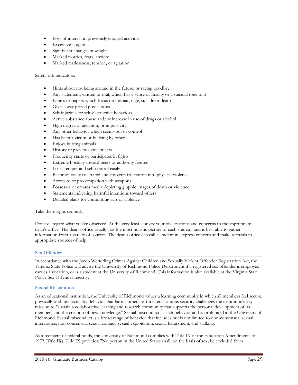- Loss of interest in previously enjoyed activities
- Excessive fatigue
- Significant changes in weight
- Marked worries, fears, anxiety
- Marked restlessness, tension, or agitation

Safety risk indicators:

- Hints about not being around in the future, or saying goodbye
- Any statement, written or oral, which has a sense of finality or a suicidal tone to it
- Essays or papers which focus on despair, rage, suicide or death
- Gives away prized possessions
- Self-injurious or self-destructive behaviors
- Active substance abuse and/or increase in use of drugs or alcohol
- High degree of agitation, or impulsivity
- Any other behavior which seems out of control
- Has been a victim of bullying by others
- Enjoys hurting animals
- History of previous violent acts
- Frequently starts or participates in fights
- Extreme hostility toward peers or authority figures
- Loses temper and self-control easily
- Becomes easily frustrated and converts frustration into physical violence
- Access to or preoccupation with weapons
- Possesses or creates media depicting graphic images of death or violence
- Statements indicating harmful intentions toward others
- Detailed plans for committing acts of violence

Take these signs seriously

Don't disregard what you've observed. At the very least, convey your observations and concerns to the appropriate dean's office. The dean's office usually has the most holistic picture of each student, and is best able to gather information from a variety of sources. The dean's office can call a student in, express concern and make referrals to appropriate sources of help.

# **Sex Offender**

In accordance with the Jacob Wetterling Crimes Against Children and Sexually Violent Offender Registration Act, the Virginia State Police will advise the University of Richmond Police Department if a registered sex offender is employed, carries a vocation, or is a student at the University of Richmond. This information is also available at the Virginia State Police Sex Offender registry.

#### **Sexual Misconduct**

As an educational institution, the University of Richmond values a learning community in which all members feel secure, physically and intellectually. Behavior that harms others or threatens campus security challenges the institution's key mission to "sustain a collaborative learning and research community that supports the personal development of its members and the creation of new knowledge." Sexual misconduct is such behavior and is prohibited at the University of Richmond. Sexual misconduct is a broad range of behavior that includes but is not limited to non-consensual sexual intercourse, non-consensual sexual contact, sexual exploitation, sexual harassment, and stalking.

As a recipient of federal funds, the University of Richmond complies with Title IX of the Education Amendments of 1972 (Title IX). Title IX provides: "No person in the United States shall, on the basis of sex, be excluded from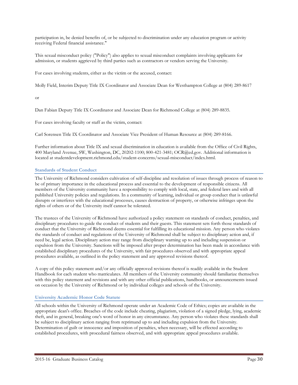participation in, be denied benefits of, or be subjected to discrimination under any education program or activity receiving Federal financial assistance."

This sexual misconduct policy ("Policy") also applies to sexual misconduct complaints involving applicants for admission, or students aggrieved by third parties such as contractors or vendors serving the University.

For cases involving students, either as the victim or the accused, contact:

Molly Field, Interim Deputy Title IX Coordinator and Associate Dean for Westhampton College at (804) 289-8617

## or

Dan Fabian Deputy Title IX Coordinator and Associate Dean for Richmond College at (804) 289-8835.

For cases involving faculty or staff as the victim, contact:

Carl Sorensen Title IX Coordinator and Associate Vice President of Human Resource at (804) 289-8166.

Further information about Title IX and sexual discrimination in education is available from the Office of Civil Rights, 400 Maryland Avenue, SW, Washington, DC, 20202-1100; 800-421-3481; OCR@ed.gov. Additional information is located at studentdevelopment.richmond.edu/student-concerns/sexual-misconduct/index.html.

# **Standards of Student Conduct**

The University of Richmond considers cultivation of self-discipline and resolution of issues through process of reason to be of primary importance in the educational process and essential to the development of responsible citizens. All members of the University community have a responsibility to comply with local, state, and federal laws and with all published University policies and regulations. In a community of learning, individual or group conduct that is unlawful disrupts or interferes with the educational processes, causes destruction of property, or otherwise infringes upon the rights of others or of the University itself cannot be tolerated.

The trustees of the University of Richmond have authorized a policy statement on standards of conduct, penalties, and disciplinary procedures to guide the conduct of students and their guests. This statement sets forth those standards of conduct that the University of Richmond deems essential for fulfilling its educational mission. Any person who violates the standards of conduct and regulations of the University of Richmond shall be subject to disciplinary action and, if need be, legal action. Disciplinary action may range from disciplinary warning up to and including suspension or expulsion from the University. Sanctions will be imposed after proper determination has been made in accordance with established disciplinary procedures of the University, with fair procedures observed and with appropriate appeal procedures available, as outlined in the policy statement and any approved revisions thereof.

A copy of this policy statement and/or any officially approved revisions thereof is readily available in the Student Handbook for each student who matriculates. All members of the University community should familiarize themselves with this policy statement and revisions and with any other official publications, handbooks, or announcements issued on occasion by the University of Richmond or by individual colleges and schools of the University.

# **University Academic Honor Code Statute**

All schools within the University of Richmond operate under an Academic Code of Ethics; copies are available in the appropriate dean's office. Breaches of the code include cheating, plagiarism, violation of a signed pledge, lying, academic theft, and in general, breaking one's word of honor in any circumstance. Any person who violates these standards shall be subject to disciplinary action ranging from reprimand up to and including expulsion from the University. Determination of guilt or innocence and imposition of penalties, when necessary, will be effected according to established procedures, with procedural fairness observed, and with appropriate appeal procedures available.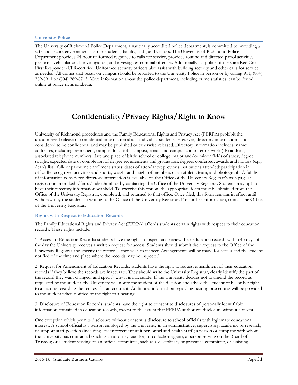# **University Police**

The University of Richmond Police Department, a nationally accredited police department, is committed to providing a safe and secure environment for our students, faculty, staff, and visitors. The University of Richmond Police Department provides 24-hour uniformed response to calls for service, provides routine and directed patrol activities, performs vehicular crash investigation, and investigates criminal offenses. Additionally, all police officers are Red Cross First Responder/CPR-certified. Uniformed security officers also assist with building security and other calls for service as needed. All crimes that occur on campus should be reported to the University Police in person or by calling 911, (804) 289-8911 or (804) 289-8715. More information about the police department, including crime statistics, can be found online at police.richmond.edu.

# **Confidentiality/Privacy Rights/Right to Know**

University of Richmond procedures and the Family Educational Rights and Privacy Act (FERPA) prohibit the unauthorized release of confidential information about individual students. However, directory information is not considered to be confidential and may be published or otherwise released. Directory information includes: name; addresses, including permanent, campus, local (off-campus), email, and campus computer network (IP) address; associated telephone numbers; date and place of birth; school or college; major and/or minor fields of study; degree sought; expected date of completion of degree requirements and graduation; degrees conferred; awards and honors (e.g., dean's list); full- or part-time enrollment status; dates of attendance; previous institutions attended; participation in officially recognized activities and sports; weight and height of members of an athletic team; and photograph. A full list of information considered directory information is available on the Office of the University Registrar's web page at registrar.richmond.edu/ferpa/index.html or by contacting the Office of the University Registrar. Students may opt to have their directory information withheld. To exercise this option, the appropriate form must be obtained from the Office of the University Registrar, completed, and returned to that office. Once filed, this form remains in effect until withdrawn by the student in writing to the Office of the University Registrar. For further information, contact the Office of the University Registrar.

# **Rights with Respect to Education Records**

The Family Educational Rights and Privacy Act (FERPA) affords students certain rights with respect to their education records. These rights include:

1. Access to Education Records: students have the right to inspect and review their education records within 45 days of the day the University receives a written request for access. Students should submit their request to the Office of the University Registrar and specify the record(s) they wish to inspect. Arrangements will be made for access and the student notified of the time and place where the records may be inspected.

2. Request for Amendment of Education Records: students have the right to request amendment of their education records if they believe the records are inaccurate. They should write the University Registrar, clearly identify the part of the record they want changed, and specify why it is inaccurate. If the University decides not to amend the record as requested by the student, the University will notify the student of the decision and advise the student of his or her right to a hearing regarding the request for amendment. Additional information regarding hearing procedures will be provided to the student when notified of the right to a hearing.

3. Disclosure of Education Records: students have the right to consent to disclosures of personally identifiable information contained in education records, except to the extent that FERPA authorizes disclosure without consent.

One exception which permits disclosure without consent is disclosure to school officials with legitimate educational interest. A school official is a person employed by the University in an administrative, supervisory, academic or research, or support staff position (including law enforcement unit personnel and health staff); a person or company with whom the University has contracted (such as an attorney, auditor, or collection agent); a person serving on the Board of Trustees; or a student serving on an official committee, such as a disciplinary or grievance committee, or assisting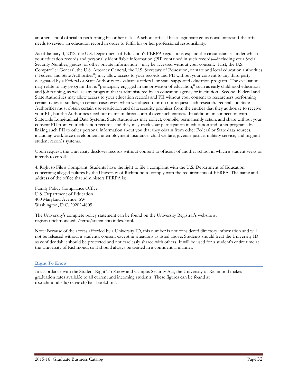another school official in performing his or her tasks. A school official has a legitimate educational interest if the official needs to review an education record in order to fulfill his or her professional responsibility.

As of January 3, 2012, the U.S. Department of Education's FERPA regulations expand the circumstances under which your education records and personally identifiable information (PII) contained in such records—including your Social Security Number, grades, or other private information—may be accessed without your consent. First, the U.S. Comptroller General, the U.S. Attorney General, the U.S. Secretary of Education, or state and local education authorities ("Federal and State Authorities") may allow access to your records and PII without your consent to any third party designated by a Federal or State Authority to evaluate a federal- or state-supported education program. The evaluation may relate to any program that is "principally engaged in the provision of education," such as early childhood education and job training, as well as any program that is administered by an education agency or institution. Second, Federal and State Authorities may allow access to your education records and PII without your consent to researchers performing certain types of studies, in certain cases even when we object to or do not request such research. Federal and State Authorities must obtain certain use-restriction and data security promises from the entities that they authorize to receive your PII, but the Authorities need not maintain direct control over such entities. In addition, in connection with Statewide Longitudinal Data Systems, State Authorities may collect, compile, permanently retain, and share without your consent PII from your education records, and they may track your participation in education and other programs by linking such PII to other personal information about you that they obtain from other Federal or State data sources, including workforce development, unemployment insurance, child welfare, juvenile justice, military service, and migrant student records systems.

Upon request, the University discloses records without consent to officials of another school in which a student seeks or intends to enroll.

4. Right to File a Complaint: Students have the right to file a complaint with the U.S. Department of Education concerning alleged failures by the University of Richmond to comply with the requirements of FERPA. The name and address of the office that administers FERPA is:

Family Policy Compliance Office U.S. Department of Education 400 Maryland Avenue, SW Washington, D.C. 20202-4605

The University's complete policy statement can be found on the University Registrar's website at registrar.richmond.edu/ferpa/statement/index.html.

Note: Because of the access afforded by a University ID, this number is not considered directory information and will not be released without a student's consent except in situations as listed above. Students should treat the University ID as confidential; it should be protected and not carelessly shared with others. It will be used for a student's entire time at the University of Richmond, so it should always be treated in a confidential manner.

# **Right To Know**

In accordance with the Student Right To Know and Campus Security Act, the University of Richmond makes graduation rates available to all current and incoming students. These figures can be found at ifx.richmond.edu/research/fact-book.html.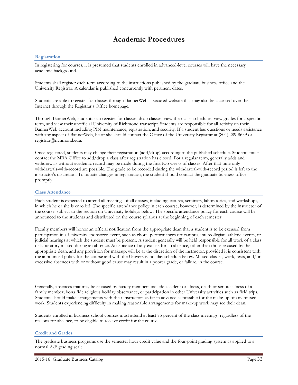# **Academic Procedures**

## **Registration**

In registering for courses, it is presumed that students enrolled in advanced-level courses will have the necessary academic background.

Students shall register each term according to the instructions published by the graduate business office and the University Registrar. A calendar is published concurrently with pertinent dates.

Students are able to register for classes through BannerWeb, a secured website that may also be accessed over the Internet through the Registrar's Office homepage.

Through BannerWeb, students can register for classes, drop classes, view their class schedules, view grades for a specific term, and view their unofficial University of Richmond transcript. Students are responsible for all activity on their BannerWeb account including PIN maintenance, registration, and security. If a student has questions or needs assistance with any aspect of BannerWeb, he or she should contact the Office of the University Registrar at (804) 289-8639 or registrar@richmond.edu.

Once registered, students may change their registration (add/drop) according to the published schedule. Students must contact the MBA Office to add/drop a class after registration has closed. For a regular term, generally adds and withdrawals without academic record may be made during the first two weeks of classes. After that time only withdrawals-with-record are possible. The grade to be recorded during the withdrawal-with-record period is left to the instructor's discretion. To initiate changes in registration, the student should contact the graduate business office promptly.

#### **Class Attendance**

Each student is expected to attend all meetings of all classes, including lectures, seminars, laboratories, and workshops, in which he or she is enrolled. The specific attendance policy in each course, however, is determined by the instructor of the course, subject to the section on University holidays below. The specific attendance policy for each course will be announced to the students and distributed on the course syllabus at the beginning of each semester.

Faculty members will honor an official notification from the appropriate dean that a student is to be excused from participation in a University-sponsored event, such as choral performances off campus, intercollegiate athletic events, or judicial hearings at which the student must be present. A student generally will be held responsible for all work of a class or laboratory missed during an absence. Acceptance of any excuse for an absence, other than those excused by the appropriate dean, and any provision for makeup, will be at the discretion of the instructor, provided it is consistent with the announced policy for the course and with the University holiday schedule below. Missed classes, work, tests, and/or excessive absences with or without good cause may result in a poorer grade, or failure, in the course.

Generally, absences that may be excused by faculty members include accident or illness, death or serious illness of a family member, bona fide religious holiday observance, or participation in other University activities such as field trips. Students should make arrangements with their instructors as far in advance as possible for the make-up of any missed work. Students experiencing difficulty in making reasonable arrangements for make-up work may see their dean.

Students enrolled in business school courses must attend at least 75 percent of the class meetings, regardless of the reasons for absence, to be eligible to receive credit for the course.

#### **Credit and Grades**

The graduate business programs use the semester hour credit value and the four-point grading system as applied to a normal A-F grading scale.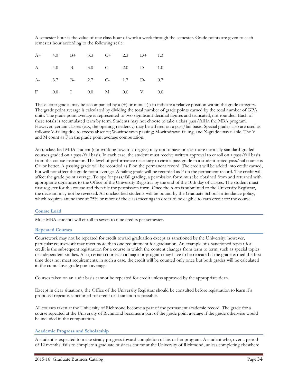A semester hour is the value of one class hour of work a week through the semester. Grade points are given to each semester hour according to the following scale:

|  |  |  | A+ 4.0 B+ 3.3 C+ 2.3 D+ 1.3 |  |
|--|--|--|-----------------------------|--|
|  |  |  | A 4.0 B 3.0 C 2.0 D 1.0     |  |
|  |  |  | A- 3.7 B- 2.7 C- 1.7 D- 0.7 |  |
|  |  |  | F 0.0 I 0.0 M 0.0 V 0.0     |  |

These letter grades may be accompanied by a  $(+)$  or minus  $(.)$  to indicate a relative position within the grade category. The grade point average is calculated by dividing the total number of grade points earned by the total number of GPA units. The grade point average is represented to two significant decimal figures and truncated, not rounded. Each of these totals is accumulated term by term. Students may not choose to take a class pass/fail in the MBA program. However, certain classes (e.g., the opening residency) may be offered on a pass/fail basis. Special grades also are used as follows: V-failing due to excess absence; W-withdrawn passing; M-withdrawn failing; and X-grade unavailable. The V and M count as F in the grade point average computation.

An unclassified MBA student (not working toward a degree) may opt to have one or more normally standard-graded courses graded on a pass/fail basis. In each case, the student must receive written approval to enroll on a pass/fail basis from the course instructor. The level of performance necessary to earn a pass grade in a student-opted pass/fail course is C+ or better. A passing grade will be recorded as P on the permanent record. The credit will be added into credit earned, but will not affect the grade point average. A failing grade will be recorded as F on the permanent record. The credit will affect the grade point average. To opt for pass/fail grading, a permission form must be obtained from and returned with appropriate signatures to the Office of the University Registrar by the end of the 10th day of classes. The student must first register for the course and then file the permission form. Once the form is submitted to the University Registrar, the decision may not be reversed. All unclassified students will be bound by the Graduate School's attendance policy, which requires attendance at 75% or more of the class meetings in order to be eligible to earn credit for the course.

#### **Course Load**

Most MBA students will enroll in seven to nine credits per semester.

#### **Repeated Courses**

Coursework may not be repeated for credit toward graduation except as sanctioned by the University; however, particular coursework may meet more than one requirement for graduation. An example of a sanctioned repeat-forcredit is the subsequent registration for a course in which the content changes from term to term, such as special topics or independent studies. Also, certain courses in a major or program may have to be repeated if the grade earned the first time does not meet requirements; in such a case, the credit will be counted only once but both grades will be calculated in the cumulative grade point average.

Courses taken on an audit basis cannot be repeated for credit unless approved by the appropriate dean.

Except in clear situations, the Office of the University Registrar should be consulted before registration to learn if a proposed repeat is sanctioned for credit or if sanction is possible.

All courses taken at the University of Richmond become a part of the permanent academic record. The grade for a course repeated at the University of Richmond becomes a part of the grade point average if the grade otherwise would be included in the computation.

## **Academic Progress and Scholarship**

A student is expected to make steady progress toward completion of his or her program. A student who, over a period of 12 months, fails to complete a graduate business course at the University of Richmond, unless completing elsewhere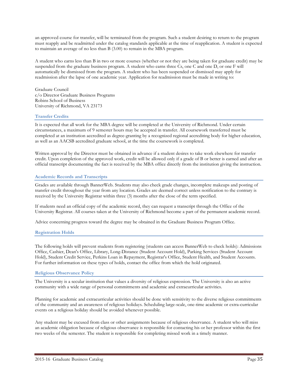an approved course for transfer, will be terminated from the program. Such a student desiring to return to the program must reapply and be readmitted under the catalog standards applicable at the time of reapplication. A student is expected to maintain an average of no less than B (3.00) to remain in the MBA program.

A student who earns less than B in two or more courses (whether or not they are being taken for graduate credit) may be suspended from the graduate business program. A student who earns three Cs, one C and one D, or one F will automatically be dismissed from the program. A student who has been suspended or dismissed may apply for readmission after the lapse of one academic year. Application for readmission must be made in writing to:

Graduate Council c/o Director Graduate Business Programs Robins School of Business University of Richmond, VA 23173

# **Transfer Credits**

It is expected that all work for the MBA degree will be completed at the University of Richmond. Under certain circumstances, a maximum of 9 semester hours may be accepted in transfer. All coursework transferred must be completed at an institution accredited as degree-granting by a recognized regional accrediting body for higher education, as well as an AACSB accredited graduate school, at the time the coursework is completed.

Written approval by the Director must be obtained in advance if a student desires to take work elsewhere for transfer credit. Upon completion of the approved work, credit will be allowed only if a grade of B or better is earned and after an official transcript documenting the fact is received by the MBA office directly from the institution giving the instruction.

# **Academic Records and Transcripts**

Grades are available through BannerWeb. Students may also check grade changes, incomplete makeups and posting of transfer credit throughout the year from any location. Grades are deemed correct unless notification to the contrary is received by the University Registrar within three (3) months after the close of the term specified.

If students need an official copy of the academic record, they can request a transcript through the Office of the University Registrar. All courses taken at the University of Richmond become a part of the permanent academic record.

Advice concerning progress toward the degree may be obtained in the Graduate Business Program Office.

#### **Registration Holds**

The following holds will prevent students from registering (students can access BannerWeb to check holds): Admissions Office, Cashier, Dean's Office, Library, Long-Distance (Student Account Hold), Parking Services (Student Account Hold), Student Credit Service, Perkins Loan in Repayment, Registrar's Office, Student Health, and Student Accounts. For further information on these types of holds, contact the office from which the hold originated.

#### **Religious Observance Policy**

The University is a secular institution that values a diversity of religious expression. The University is also an active community with a wide range of personal commitments and academic and extracurricular activities.

Planning for academic and extracurricular activities should be done with sensitivity to the diverse religious commitments of the community and an awareness of religious holidays. Scheduling large-scale, one-time academic or extra-curricular events on a religious holiday should be avoided whenever possible.

Any student may be excused from class or other assignments because of religious observance. A student who will miss an academic obligation because of religious observance is responsible for contacting his or her professor within the first two weeks of the semester. The student is responsible for completing missed work in a timely manner.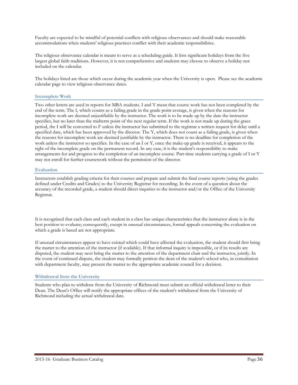Faculty are expected to be mindful of potential conflicts with religious observances and should make reasonable accommodations when students' religious practices conflict with their academic responsibilities.

The religious observance calendar is meant to serve as a scheduling guide. It lists significant holidays from the five largest global faith traditions. However, it is not comprehensive and students may choose to observe a holiday not included on the calendar.

The holidays listed are those which occur during the academic year when the University is open. Please see the academic calendar page to view religious observance dates.

# **Incomplete Work**

Two other letters are used in reports for MBA students. I and Y mean that course work has not been completed by the end of the term. The I, which counts as a failing grade in the grade point average, is given when the reasons for incomplete work are deemed unjustifiable by the instructor. The work is to be made up by the date the instructor specifies, but no later than the midterm point of the next regular term. If the work is not made up during the grace period, the I will be converted to F unless the instructor has submitted to the registrar a written request for delay until a specified date, which has been approved by the director. The Y, which does not count as a failing grade, is given when the reasons for incomplete work are deemed justifiable by the instructor. There is no deadline for completion of the work unless the instructor so specifies. In the case of an I or Y, once the make-up grade is received, it appears to the right of the incomplete grade on the permanent record. In any case, it is the student's responsibility to make arrangements for and progress to the completion of an incomplete course. Part-time students carrying a grade of I or Y may not enroll for further coursework without the permission of the director.

# **Evaluation**

Instructors establish grading criteria for their courses and prepare and submit the final course reports (using the grades defined under Credits and Grades) to the University Registrar for recording. In the event of a question about the accuracy of the recorded grade, a student should direct inquiries to the instructor and/or the Office of the University Registrar.

It is recognized that each class and each student in a class has unique characteristics that the instructor alone is in the best position to evaluate; consequently, except in unusual circumstances, formal appeals concerning the evaluation on which a grade is based are not appropriate.

If unusual circumstances appear to have existed which could have affected the evaluation, the student should first bring the matter to the attention of the instructor (if available). If that informal inquiry is impossible, or if its results are disputed, the student may next bring the matter to the attention of the department chair and the instructor, jointly. In the event of continued dispute, the student may formally petition the dean of the student's school who, in consultation with department faculty, may present the matter to the appropriate academic council for a decision.

# **Withdrawal from the University**

Students who plan to withdraw from the University of Richmond must submit an official withdrawal letter to their Dean. The Dean's Office will notify the appropriate offices of the student's withdrawal from the University of Richmond including the actual withdrawal date.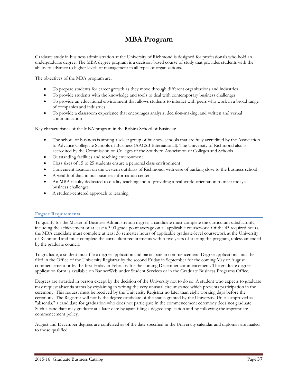# **MBA Program**

Graduate study in business administration at the University of Richmond is designed for professionals who hold an undergraduate degree. The MBA degree program is a decision-based course of study that provides students with the ability to advance to higher levels of management in all types of organizations.

The objectives of the MBA program are:

- To prepare students for career growth as they move through different organizations and industries
- To provide students with the knowledge and tools to deal with contemporary business challenges
- To provide an educational environment that allows students to interact with peers who work in a broad range of companies and industries
- To provide a classroom experience that encourages analysis, decision-making, and written and verbal communication

Key characteristics of the MBA program in the Robins School of Business:

- The school of business is among a select group of business schools that are fully accredited by the Association to Advance Collegiate Schools of Business (AACSB International). The University of Richmond also is accredited by the Commission on Colleges of the Southern Association of Colleges and Schools
- Outstanding facilities and teaching environment
- Class sizes of 15 to 25 students ensure a personal class environment
- Convenient location on the western outskirts of Richmond, with ease of parking close to the business school
- A wealth of data in our business information center
- An MBA faculty dedicated to quality teaching and to providing a real-world orientation to meet today's business challenges
- A student-centered approach to learning

# **Degree Requirements**

To qualify for the Master of Business Administration degree, a candidate must complete the curriculum satisfactorily, including the achievement of at least a 3.00 grade point average on all applicable coursework. Of the 45 required hours, the MBA candidate must complete at least 36 semester hours of applicable graduate-level coursework at the University of Richmond and must complete the curriculum requirements within five years of starting the program, unless amended by the graduate council.

To graduate, a student must file a degree application and participate in commencement. Degree applications must be filed in the Office of the University Registrar by the second Friday in September for the coming May or August commencement or by the first Friday in February for the coming December commencement. The graduate degree application form is available on BannerWeb under Student Services or in the Graduate Business Programs Office.

Degrees are awarded in person except by the decision of the University not to do so. A student who expects to graduate may request absentia status by explaining in writing the very unusual circumstance which prevents participation in the ceremony. This request must be received by the University Registrar no later than eight working days before the ceremony. The Registrar will notify the degree candidate of the status granted by the University. Unless approved as "absentia," a candidate for graduation who does not participate in the commencement ceremony does not graduate. Such a candidate may graduate at a later date by again filing a degree application and by following the appropriate commencement policy.

August and December degrees are conferred as of the date specified in the University calendar and diplomas are mailed to those qualified.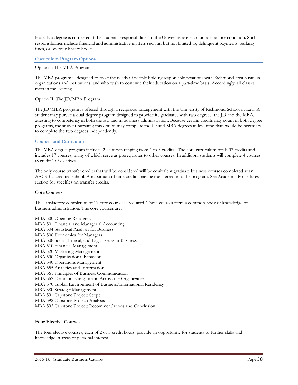Note: No degree is conferred if the student's responsibilities to the University are in an unsatisfactory condition. Such responsibilities include financial and administrative matters such as, but not limited to, delinquent payments, parking fines, or overdue library books.

#### **Curriculum Program Options**

#### Option I: The MBA Program

The MBA program is designed to meet the needs of people holding responsible positions with Richmond-area business organizations and institutions, and who wish to continue their education on a part-time basis. Accordingly, all classes meet in the evening.

#### Option II: The JD/MBA Program

The JD/MBA program is offered through a reciprocal arrangement with the University of Richmond School of Law. A student may pursue a dual-degree program designed to provide its graduates with two degrees, the JD and the MBA, attesting to competency in both the law and in business administration. Because certain credits may count in both degree programs, the student pursuing this option may complete the JD and MBA degrees in less time than would be necessary to complete the two degrees independently.

# **Courses and Curriculum**

The MBA degree program includes 21 courses ranging from 1 to 3 credits. The core curriculum totals 37 credits and includes 17 courses, many of which serve as prerequisites to other courses. In addition, students will complete 4 courses (8 credits) of electives.

The only course transfer credits that will be considered will be equivalent graduate business courses completed at an AACSB-accredited school. A maximum of nine credits may be transferred into the program. See Academic Procedures section for specifics on transfer credits.

## **Core Courses**

The satisfactory completion of 17 core courses is required. These courses form a common body of knowledge of business administration. The core courses are:

MBA 500 Opening Residency MBA 501 Financial and Managerial Accounting MBA 504 Statistical Analysis for Business MBA 506 Economics for Managers MBA 508 Social, Ethical, and Legal Issues in Business MBA 510 Financial Management MBA 520 Marketing Management MBA 530 Organizational Behavior MBA 540 Operations Management MBA 555 Analytics and Information MBA 561 Principles of Business Communication MBA 562 Communicating In and Across the Organization MBA 570 Global Environment of Business/International Residency MBA 580 Strategic Management MBA 591 Capstone Project: Scope MBA 592 Capstone Project: Analysis MBA 593 Capstone Project: Recommendations and Conclusion

#### **Four Elective Courses**

The four elective courses, each of 2 or 3 credit hours, provide an opportunity for students to further skills and knowledge in areas of personal interest.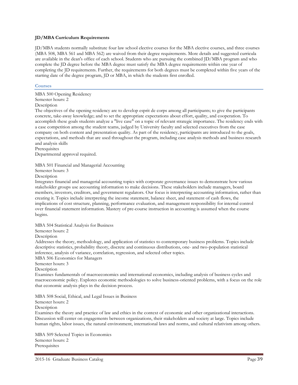# **JD/MBA Curriculum Requirements**

JD/MBA students normally substitute four law school elective courses for the MBA elective courses, and three courses (MBA 508, MBA 561 and MBA 562) are waived from their degree requirements. More details and suggested curricula are available in the dean's office of each school. Students who are pursuing the combined JD/MBA program and who complete the JD degree before the MBA degree must satisfy the MBA degree requirements within one year of completing the JD requirements. Further, the requirements for both degrees must be completed within five years of the starting date of the degree program, JD or MBA, in which the students first enrolled.

#### **Courses**

MBA 500 Opening Residency Semester hours: 2 Description

The objectives of the opening residency are to develop esprit de corps among all participants; to give the participants concrete, take-away knowledge; and to set the appropriate expectations about effort, quality, and cooperation. To accomplish these goals students analyze a "live case" on a topic of relevant strategic importance. The residency ends with a case competition among the student teams, judged by University faculty and selected executives from the case company on both content and presentation quality. As part of the residency, participants are introduced to the goals, expectations, and methods that are used throughout the program, including case analysis methods and business research and analysis skills

Prerequisites

Departmental approval required.

MBA 501 Financial and Managerial Accounting

Semester hours: 3

Description

Integrates financial and managerial accounting topics with corporate governance issues to demonstrate how various stakeholder groups use accounting information to make decisions. These stakeholders include managers, board members, investors, creditors, and government regulators. Our focus is interpreting accounting information, rather than creating it. Topics include interpreting the income statement, balance sheet, and statement of cash flows, the implications of cost structure, planning, performance evaluation, and management responsibility for internal control over financial statement information. Mastery of pre-course instruction in accounting is assumed when the course begins.

MBA 504 Statistical Analysis for Business

Semester hours: 2

**Description** 

Addresses the theory, methodology, and application of statistics to contemporary business problems. Topics include descriptive statistics, probability theory, discrete and continuous distributions, one- and two-population statistical inference, analysis of variance, correlation, regression, and selected other topics.

MBA 506 Economics for Managers

Semester hours: 3

Description

Examines fundamentals of macroeconomics and international economics, including analysis of business cycles and macroeconomic policy. Explores economic methodologies to solve business-oriented problems, with a focus on the role that economic analysis plays in the decision process.

MBA 508 Social, Ethical, and Legal Issues in Business

Semester hours: 2

Description

Examines the theory and practice of law and ethics in the context of economic and other organizational interactions. Discussion will center on engagements between organizations, their stakeholders and society at large. Topics include human rights, labor issues, the natural environment, international laws and norms, and cultural relativism among others.

MBA 509 Selected Topics in Economics Semester hours: 2 **Prerequisites**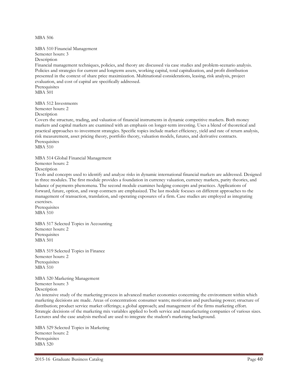MBA 506

MBA 510 Financial Management

Semester hours: 3

Description

Financial management techniques, policies, and theory are discussed via case studies and problem-scenario analysis. Policies and strategies for current and longterm assets, working capital, total capitalization, and profit distribution presented in the context of share price maximization. Multinational considerations, leasing, risk analysis, project evaluation, and cost of capital are specifically addressed. Prerequisites MBA 501

MBA 512 Investments Semester hours: 2

Description

Covers the structure, trading, and valuation of financial instruments in dynamic competitive markets. Both money markets and capital markets are examined with an emphasis on longer-term investing. Uses a blend of theoretical and practical approaches to investment strategies. Specific topics include market efficiency, yield and rate of return analysis, risk measurement, asset pricing theory, portfolio theory, valuation models, futures, and derivative contracts. Prerequisites

MBA 510

MBA 514 Global Financial Management Semester hours: 2 Description

Tools and concepts used to identify and analyze risks in dynamic international financial markets are addressed. Designed in three modules. The first module provides a foundation in currency valuation, currency markets, parity theories, and balance of payments phenomena. The second module examines hedging concepts and practices. Applications of forward, future, option, and swap contracts are emphasized. The last module focuses on different approaches to the management of transaction, translation, and operating exposures of a firm. Case studies are employed as integrating exercises.

Prerequisites MBA 510

MBA 517 Selected Topics in Accounting Semester hours: 2 Prerequisites MBA 501

MBA 519 Selected Topics in Finance Semester hours: 2 **Prerequisites** MBA 510

MBA 520 Marketing Management Semester hours: 3 Description

An intensive study of the marketing process in advanced market economies concerning the environment within which marketing decisions are made. Areas of concentration: consumer wants; motivation and purchasing power; structure of distribution; product service market offerings; a global approach; and management of the firms marketing effort. Strategic decisions of the marketing mix variables applied to both service and manufacturing companies of various sizes. Lectures and the case analysis method are used to integrate the student's marketing background.

MBA 529 Selected Topics in Marketing Semester hours: 2 Prerequisites MBA 520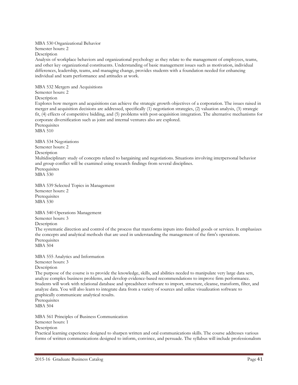#### MBA 530 Organizational Behavior Semester hours: 2 Description

Analysis of workplace behaviors and organizational psychology as they relate to the management of employees, teams, and other key organizational constituents. Understanding of basic management issues such as motivation, individual differences, leadership, teams, and managing change, provides students with a foundation needed for enhancing individual and team performance and attitudes at work.

MBA 532 Mergers and Acquisitions Semester hours: 2 Description Explores how mergers and acquisitions can achieve the strategic growth objectives of a corporation. The issues raised in merger and acquisition decisions are addressed, specifically (1) negotiation strategies, (2) valuation analysis, (3) strategic fit, (4) effects of competitive bidding, and (5) problems with post-acquisition integration. The alternative mechanisms for corporate diversification such as joint and internal ventures also are explored. Prerequisites MBA 510 MBA 534 Negotiations Semester hours: 2 Description Multidisciplinary study of concepts related to bargaining and negotiations. Situations involving interpersonal behavior and group conflict will be examined using research findings from several disciplines. Prerequisites MBA 530 MBA 539 Selected Topics in Management Semester hours: 2 Prerequisites MBA 530

MBA 540 Operations Management Semester hours: 3 Description The systematic direction and control of the process that transforms inputs into finished goods or services. It emphasizes the concepts and analytical methods that are used in understanding the management of the firm's operations. Prerequisites MBA 504

MBA 555 Analytics and Information Semester hours: 3 Description The purpose of the course is to provide the knowledge, skills, and abilities needed to manipulate very large data sets, analyze complex business problems, and develop evidence-based recommendations to improve firm performance. Students will work with relational database and spreadsheet software to import, structure, cleanse, transform, filter, and analyze data. You will also learn to integrate data from a variety of sources and utilize visualization software to graphically communicate analytical results. Prerequisites

MBA 504

MBA 561 Principles of Business Communication Semester hours: 1 Description Practical learning experience designed to sharpen written and oral communications skills. The course addresses various forms of written communications designed to inform, convince, and persuade. The syllabus will include professionalism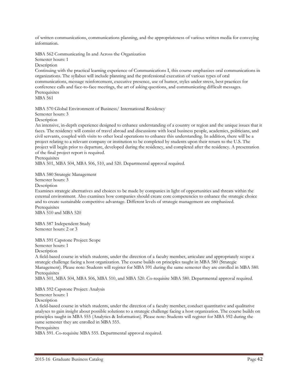of written communications, communications planning, and the appropriateness of various written media for conveying information.

MBA 562 Communicating In and Across the Organization

Semester hours: 1

Description

Continuing with the practical learning experience of Communications I, this course emphasizes oral communications in organizations. The syllabus will include planning and the professional execution of various types of oral communications, message reinforcement, executive presence, use of humor, styles under stress, best practices for conference calls and face-to-face meetings, the art of asking questions, and communicating difficult messages. **Prerequisites** 

MBA 561

MBA 570 Global Environment of Business/ International Residency

Semester hours: 3

Description

An intensive, in-depth experience designed to enhance understanding of a country or region and the unique issues that it faces. The residency will consist of travel abroad and discussions with local business people, academics, politicians, and civil servants, coupled with visits to other local operations to enhance this understanding. In addition, there will be a project relating to a relevant company or institution to be completed by students upon their return to the U.S. The project will begin prior to departure, developed during the residency, and completed after the residency. A presentation of the final project report is required.

Prerequisites

MBA 501, MBA 504, MBA 506, 510, and 520. Departmental approval required.

MBA 580 Strategic Management

Semester hours: 3

Description

Examines strategic alternatives and choices to be made by companies in light of opportunities and threats within the external environment. Also examines how companies should create core competencies to enhance the strategic choice and to create sustainable competitive advantage. Different levels of strategic management are emphasized. Prerequisites MBA 510 and MBA 520

MBA 587 Independent Study Semester hours: 2 or 3

MBA 591 Capstone Project: Scope

Semester hours: 1

Description

A field-based course in which students, under the direction of a faculty member, articulate and appropriately scope a strategic challenge facing a host organization. The course builds on principles taught in MBA 580 (Strategic Management). Please note: Students will register for MBA 591 during the same semester they are enrolled in MBA 580. Prerequisites

MBA 501, MBA 504, MBA 506, MBA 510, and MBA 520. Co-requisite MBA 580. Departmental approval required.

MBA 592 Capstone Project: Analysis

Semester hours: 1

Description

A field-based course in which students, under the direction of a faculty member, conduct quantitative and qualitative analyses to gain insight about possible solutions to a strategic challenge facing a host organization. The course builds on principles taught in MBA 555 (Analytics & Information). Please note: Students will register for MBA 592 during the same semester they are enrolled in MBA 555.

# Prerequisites

MBA 591. Co-requisite MBA 555. Departmental approval required.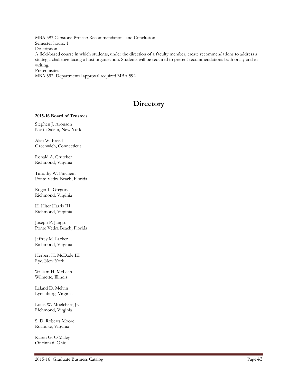MBA 593 Capstone Project: Recommendations and Conclusion Semester hours: 1 Description A field-based course in which students, under the direction of a faculty member, create recommendations to address a strategic challenge facing a host organization. Students will be required to present recommendations both orally and in writing. **Prerequisites** MBA 592. Departmental approval required.MBA 592.

# **Directory**

# **2015-16 Board of Trustees**

Stephen J. Aronson North Salem, New York

Alan W. Breed Greenwich, Connecticut

Ronald A. Crutcher Richmond, Virginia

Timothy W. Finchem Ponte Vedra Beach, Florida

Roger L. Gregory Richmond, Virginia

H. Hiter Harris III Richmond, Virginia

Joseph P. Jangro Ponte Vedra Beach, Florida

Jeffrey M. Lacker Richmond, Virginia

Herbert H. McDade III Rye, New York

William H. McLean Wilmette, Illinois

Leland D. Melvin Lynchburg, Virginia

Louis W. Moelchert, Jr. Richmond, Virginia

S. D. Roberts Moore Roanoke, Virginia

Karen G. O'Maley Cincinnati, Ohio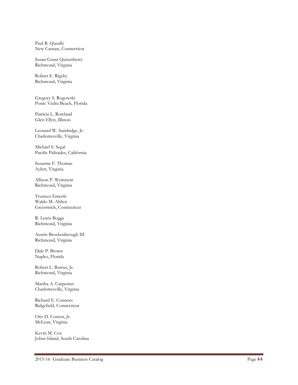Paul B. Queally New Canaan, Connecticut

Susan Gunn Quisenberry Richmond, Virginia

Robert E. Rigsby Richmond, Virginia

Gregory S. Rogowski Ponte Vedra Beach, Florida

Patricia L. Rowland Glen Ellyn, Illinois

Leonard W. Sandridge, Jr. Charlottesville, Virginia

Michael S. Segal Pacific Palisades, California

Suzanne F. Thomas Aylett, Virginia

Allison P. Weinstein Richmond, Virginia

Trustees Emeriti Waldo M. Abbot Greenwich, Connecticut

R. Lewis Boggs Richmond, Virginia

Austin Brockenbrough III Richmond, Virginia

Dale P. Brown Naples, Florida

Robert L. Burrus, Jr. Richmond, Virginia

Martha A. Carpenter Charlottesville, Virginia

Richard E. Connors Ridgefield, Connecticut

Otis D. Coston, Jr. McLean, Virginia

Kevin M. Cox Johns Island, South Carolina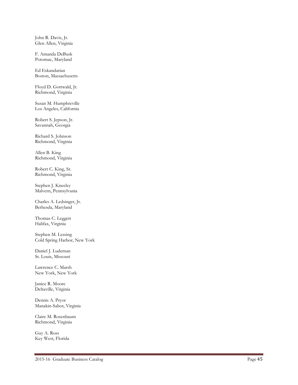John R. Davis, Jr. Glen Allen, Virginia

F. Amanda DeBusk Potomac, Maryland

Ed Eskandarian Boston, Massachusetts

Floyd D. Gottwald, Jr. Richmond, Virginia

Susan M. Humphreville Los Angeles, California

Robert S. Jepson, Jr. Savannah, Georgia

Richard S. Johnson Richmond, Virginia

Allen B. King Richmond, Virginia

Robert C. King, Sr. Richmond, Virginia

Stephen J. Kneeley Malvern, Pennsylvania

Charles A. Ledsinger, Jr. Bethesda, Maryland

Thomas C. Leggett Halifax, Virginia

Stephen M. Lessing Cold Spring Harbor, New York

Daniel J. Ludeman St. Louis, Missouri

Lawrence C. Marsh New York, New York

Janice R. Moore Deltaville, Virginia

Dennis A. Pryor Manakin -Sabot, Virginia

Claire M. Rosenbaum Richmond, Virginia

Guy A. Ross Key West, Florida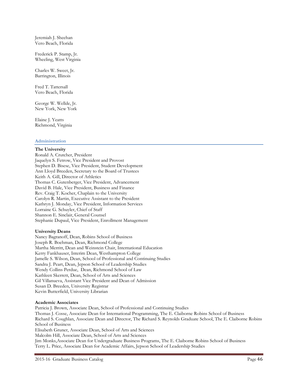Jeremiah J. Sheehan Vero Beach, Florida

Frederick P. Stamp, Jr. Wheeling, West Virginia

Charles W. Sweet, Jr. Barrington, Illinois

Fred T. Tattersall Vero Beach, Florida

George W. Wellde, Jr. New York, New York

Elaine J. Yeatts Richmond, Virginia

# **Administration**

#### **The University**

Ronald A. Crutcher, President Jaquelyn S. Fetrow, Vice President and Provost Stephen D. Bisese, Vice President, Student Development Ann Lloyd Breeden, Secretary to the Board of Trustees Keith A. Gill, Director of Athletics Thomas C. Gutenberger, Vice President, Advancement David B. Hale, Vice President, Business and Finance Rev. Craig T. Kocher, Chaplain to the University Carolyn R. Martin, Executive Assistant to the President Kathryn J. Monday, Vice President, Information Services Lorraine G. Schuyler, Chief of Staff Shannon E. Sinclair, General Counsel Stephanie Dupaul, Vice President, Enrollment Management

#### **University Deans**

Nancy Bagranoff, Dean, Robins School of Business Joseph R. Boehman, Dean, Richmond College Martha Merritt, Dean and Weinstein Chair, International Education Kerry Fankhauser, Interim Dean, Westhampton College Jamelle S. Wilson, Dean, School of Professional and Continuing Studies Sandra J. Peart, Dean, Jepson School of Leadership Studies Wendy Collins Perdue, Dean, Richmond School of Law Kathleen Skerrett, Dean, School of Arts and Sciences Gil Villanueva, Assistant Vice President and Dean of Admission Susan D. Breeden, University Registrar Kevin Butterfield, University Librarian

#### **Academic Associates**

Patricia J. Brown, Associate Dean, School of Professional and Continuing Studies Thomas J. Cosse, Associate Dean for International Programming, The E. Claiborne Robins School of Business Richard S. Coughlan, Associate Dean and Director, The Richard S. Reynolds Graduate School, The E. Claiborne Robins School of Business Elisabeth Gruner, Associate Dean, School of Arts and Sciences Malcolm Hill, Associate Dean, School of Arts and Sciences Jim Monks,Associate Dean for Undergraduate Business Programs, The E. Claiborne Robins School of Business Terry L. Price, Associate Dean for Academic Affairs, Jepson School of Leadership Studies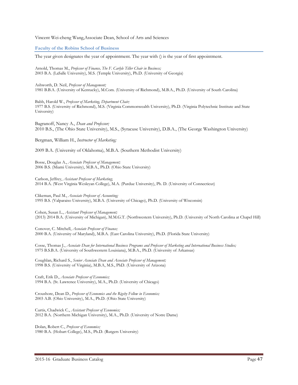Vincent Wei-cheng Wang,Associate Dean, School of Arts and Sciences

**Faculty of the Robins School of Business**

The year given designates the year of appointment. The year with () is the year of first appointment.

Arnold, Thomas M., *Professor of Finance, The F. Carlyle Tiller Chair in Business;* 2003 B.A. (LaSalle University), M.S. (Temple University), Ph.D. (University of Georgia)

Ashworth, D. Neil, *Professor of Management;* 1981 B.B.A. (University of Kentucky), M.Com. (University of Richmond), M.B.A., Ph.D. (University of South Carolina)

Babb, Harold W., *Professor of Marketing, Department Chair;* 1977 B.S. (University of Richmond), M.S. (Virginia Commonwealth University), Ph.D. (Virginia Polytechnic Institute and State University)

Bagranoff, Nancy A., *Dean and Professor;* 2010 B.S., (The Ohio State University), M.S., (Syracuse University), D.B.A., (The George Washington University)

Bergman, William H., *Instructor of Marketing;*

2009 B.A. (University of Oklahoma), M.B.A. (Southern Methodist University)

Bosse, Douglas A., *Associate Professor of Management;* 2006 B.S. (Miami University), M.B.A., Ph.D. (Ohio State University)

Carlson, Jeffrey, *Assistant Professor of Marketing*; 2014 B.A. (West Virginia Wesleyan College), M.A. (Purdue University), Ph. D. (University of Connecticut)

Clikeman, Paul M., *Associate Professor of Accounting;* 1995 B.S. (Valparaiso University), M.B.A. (University of Chicago), Ph.D. (University of Wisconsin)

Cohen, Susan L., *Assistant Professor of Management;* (2013) 2014 B.A. (University of Michigan), M.M.G.T. (Northwestern University), Ph.D. (University of North Carolina at Chapel Hill)

Conover, C. Mitchell, *Associate Professor of Finance;* 2000 B.A. (University of Maryland), M.B.A. (East Carolina University), Ph.D. (Florida State University)

Cosse, Thomas J., *Associate Dean for International Business Programs and Professor of Marketing and International Business Studies;* 1975 B.S.B.A. (University of Southwestern Louisiana), M.B.A., Ph.D. (University of Arkansas)

Coughlan, Richard S., *Senior Associate Dean and Associate Professor of Management;*  1998 B.S. (University of Virginia), M.B.A, M.S., PhD. (University of Arizona)

Craft, Erik D., *Associate Professor of Economics;* 1994 B.A. (St. Lawrence University), M.A., Ph.D. (University of Chicago)

Croushore, Dean D., *Professor of Economics and the Rigsby Fellow in Economics;* 2003 A.B. (Ohio University), M.A., Ph.D. (Ohio State University)

Curtis, Chadwick C., *Assistant Professor of Economics;* 2012 B.A. (Northern Michigan University), M.A., Ph.D. (University of Notre Dame)

Dolan, Robert C., *Professor of Economics;* 1980 B.A. (Hobart College), M.S., Ph.D. (Rutgers University)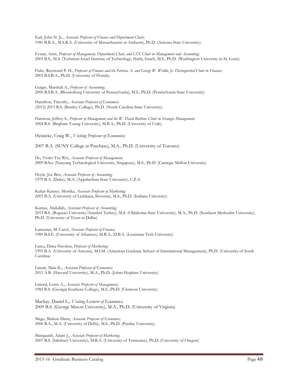Earl, John H. Jr., *Associate Professor of Finance and Department Chair;* 1981 B.B.A., M.S.B.A. (University of Massachusetts at Amherst), Ph.D. (Arizona State University)

Eynan, Amit, *Professor of Management, Department Chair, and CSX Chair in Management and Accounting;* 2003 B.S., M.S. (Technion-Israel Institute of Technology, Haifa, Israel), M.S., Ph.D. (Washington University in St. Louis)

Fishe, Raymond P. H., *Professor of Finance and the Patricia A. and George W. Wellde, Jr. Distinguished Chair in Finance;* 2003 B.S.B.A., Ph.D. (University of Florida)

Geiger, Marshall A., *Professor of Accounting;* 2000 B.S.B.A. (Bloomsburg University of Pennsylvania), M.S., Ph.D. (Pennsylvania State University)

Hamilton, Timothy, *Assistant Professor of Economics;* (2012) 2013 B.S. (Bentley College), Ph.D. (North Carolina State University)

Harrison, Jeffrey S., *Professor of Management and the W. David Robbins Chair in Strategic Management;* 2004 B.S. (Brigham Young University), M.B.A., Ph.D. (University of Utah)

Heinicke, Craig W., *Visiting Professor of Economics;*

2007 B.A. (SUNY College at Purchase), M.A., Ph.D. (University of Toronto)

Ho, Violet Tzu Wei, *Associate Professor of Management;* 2009 BAcc (Nanyang Technological University, Singapore), M.S., Ph.D. (Carnegie Mellon University)

Hoyle, Joe Ben, *Associate Professor of Accounting;* 1979 B.A. (Duke), M.A. (Appalachian State University), C.P.A.

Kukar-Kinney, Monika, *Associate Professor of Marketing;* 2003 B.A. (University of Ljubljana, Slovenia), M.S., Ph.D. (Indiana University)

Kumas, Abdullah, *Assistant Professor of Accounting;* 2013 B.S. (Bogazici University/Istanbul Turkey), M.S. (Oklahoma State University), M.A., Ph.D. (Southern Methodist University), Ph.D. (University of Texas at Dallas)

Lancaster, M. Carol, *Associate Professor of Finance;* 1989 B.S.E. (University of Arkansas), M.B.A., D.B.A. (Louisiana Tech University)

Lascu, Dana-Nicoleta, *Professor of Marketing;* 1991 B.A. (University of Arizona), M.I.M. (American Graduate School of International Management), Ph.D. (University of South Carolina)

Linask, Maia K., *Assistant Professor of Economics;* 2011 A.B. (Harvard University), M.A., Ph.D. (Johns Hopkins University)

Litteral, Lewis A., *Associate Professor of Management;* 1982 B.S. (Georgia Southern College), M.S., Ph.D. (Clemson University)

Mackay, Daniel L., *Visiting Lecturer of Economics;* 2009 B.S. (George Mason University), M.A., Ph.D. (University of Virginia)

Mago, Shakun Datta, *Associate Professor of Economics;* 2006 B.A., M.A. (University of Delhi), M.S., Ph.D. (Purdue University)

Marquardt, Adam J., *Associate Professor of Marketing;* 2007 B.S. (Salisbury University), M.B.A. (University of Tennessee), Ph.D. (University of Oregon)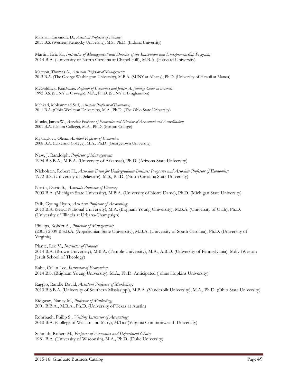Marshall, Cassandra D., *Assistant Professor of Finance;* 2011 B.S. (Western Kentucky University), M.S., Ph.D. (Indiana University)

Martin, Eric K., *Instructor of Management and Director of the Innovation and Entrepreneurship Program;* 2014 B.A. (University of North Carolina at Chapel Hill), M.B.A. (Harvard University)

Mattson, Thomas A., *Assistant Professor of Management;* 2013 B.A. (The George Washington University), M.B.A. (SUNY at Albany), Ph.D. (University of Hawaii at Manoa)

McGoldrick, KimMarie, *Professor of Economics and Joseph A. Jennings Chair in Business;* 1992 B.S. (SUNY at Oswego), M.A., Ph.D. (SUNY at Binghamton)

Mehkari, Mohammad Saif, *Assistant Professor of Economics;*  2011 B.A. (Ohio Wesleyan University), M.A., Ph.D. (The Ohio State University)

Monks, James W., *Associate Professor of Economics and Director of Assessment and Accreditation;* 2001 B.A. (Union College), M.A., Ph.D. (Boston College)

Mykhaylova, Olena, *Assistant Professor of Economics;* 2008 B.A. (Lakeland College), M.A., Ph.D. (Georgetown University)

New, J. Randolph, *Professor of Management;* 1994 B.S.B.A., M.B.A. (University of Arkansas), Ph.D. (Arizona State University)

Nicholson, Robert H., *Associate Dean for Undergraduate Business Programs and Associate Professor of Economics;* 1972 B.S. (University of Delaware), M.S., Ph.D. (North Carolina State University)

North, David S., *Associate Professor of Finance;* 2000 B.A. (Michigan State University), M.B.A. (University of Notre Dame), Ph.D. (Michigan State University)

Paik, Gyung Hyun, *Assistant Professor of Accounting;* 2010 B.A. (Seoul National University), M.A. (Brigham Young University), M.B.A. (University of Utah), Ph.D. (University of Illinois at Urbana-Champaign)

Phillips, Robert A., *Professor of Management;* (2005) 2009 B.S.B.A. (Appalachian State University), M.B.A. (University of South Carolina), Ph.D. (University of Virginia)

Plante, Leo V., *Instructor of Finance* 2014 B.A. (Brown University), M.B.A. (Temple University), M.A., A.B.D. (University of Pennsylvania), Mdiv (Weston Jesuit School of Theology)

Rabe, Collin Lee, *Instructor of Economics;* 2014 B.S. (Brigham Young University), M.A., Ph.D. Anticipated (Johns Hopkins University)

Raggio, Randle David, *Assistant Professor of Marketing;* 2010 B.S.B.A. (University of Southern Mississippi), M.B.A. (Vanderbilt University), M.A., Ph.D. (Ohio State University)

Ridgway, Nancy M., *Professor of Marketing;* 2001 B.B.A., M.B.A., Ph.D. (University of Texas at Austin)

Rohrbach, Philip S., *Visiting Instructor of Accounting;* 2010 B.A. (College of William and Mary), M.Tax (Virginia Commonwealth University)

Schmidt, Robert M., *Professor of Economics and Department Chair;* 1981 B.A. (University of Wisconsin), M.A., Ph.D. (Duke University)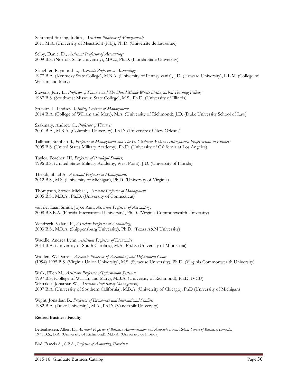Schrempf-Stirling, Judith , *Assistant Professor of Management;* 2011 M.A. (University of Maastricht (NL)), Ph.D. (Universite de Lausanne)

Selby, Daniel D., *Assistant Professor of Accounting;* 2009 B.S. (Norfolk State University), MAcc, Ph.D. (Florida State University)

Slaughter, Raymond L., *Associate Professor of Accounting;* 1977 B.A. (Kentucky State College), M.B.A. (University of Pennsylvania), J.D. (Howard University), L.L.M. (College of William and Mary)

Stevens, Jerry L., *Professor of Finance and The David Meade White Distinguished Teaching Fellow;* 1987 B.S. (Southwest Missouri State College), M.S., Ph.D. (University of Illinois)

Stravitz, L. Lindsey, *Visiting Lecturer of Management;* 2014 B.A. (College of William and Mary), M.A. (University of Richmond), J.D. (Duke University School of Law)

Szakmary, Andrew C., *Professor of Finance;* 2001 B.A., M.B.A. (Columbia University), Ph.D. (University of New Orleans)

Tallman, Stephen B., *Professor of Management and The E. Claiborne Robins Distinguished Professorship in Business* 2005 B.S. (United States Military Academy), Ph.D. (University of California at Los Angeles)

Taylor, Porcher III, *Professor of Paralegal Studies;* 1996 B.S. (United States Military Academy, West Point), J.D. (University of Florida)

Thekdi, Shital A., *Assistant Professor of Management;* 2012 B.S., M.S. (University of Michigan), Ph.D. (University of Virginia)

Thompson, Steven Michael, *Associate Professor of Management* 2005 B.S., M.B.A., Ph.D. (University of Connecticut)

van der Laan Smith, Joyce Ann, *Associate Professor of Accounting;* 2008 B.S.B.A. (Florida International University), Ph.D. (Virginia Commonwealth University)

Vendrzyk, Valaria P., *Associate Professor of Accounting;* 2003 B.S., M.B.A. (Shippensburg University), Ph.D. (Texas A&M University)

Waddle, Andrea Lynn, *Assistant Professor of Economics* 2014 B.A. (University of South Carolina), M.A., Ph.D. (University of Minnesota)

Walden, W. Darrell, *Associate Professor of Accounting and Department Chair* (1994) 1995 B.S. (Virginia Union University), M.S. (Syracuse University), Ph.D. (Virginia Commonwealth University)

Walk, Ellen M., *Assistant Professor of Information Systems;* 1997 B.S. (College of William and Mary), M.B.A. (University of Richmond), Ph.D. (VCU) Whitaker, Jonathan W., *Associate Professor of Management;* 2007 B.A. (University of Southern California), M.B.A. (University of Chicago), PhD (University of Michigan)

Wight, Jonathan B., *Professor of Economics and International Studies;* 1982 B.A. (Duke University), M.A., Ph.D. (Vanderbilt University)

#### **Retired Business Faculty**

Bettenhausen, Albert E., *Assistant Professor of Business Administration and Associate Dean, Robins School of Business, Emeritus;* 1971 B.S., B.A. (University of Richmond), M.B.A. (University of Florida)

Bird, Francis A., C.P.A., *Professor of Accounting, Emeritus;*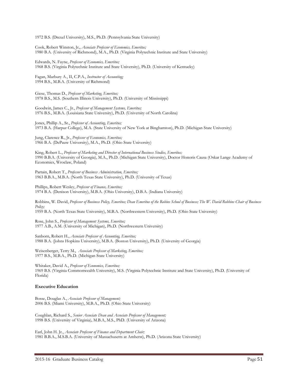1972 B.S. (Drexel University), M.S., Ph.D. (Pennsylvania State University)

Cook, Robert Winston, Jr., *Associate Professor of Economics, Emeritus;* 1980 B.A. (University of Richmond), M.A., Ph.D. (Virginia Polytechnic Institute and State University)

Edwards, N. Fayne, *Professor of Economics, Emeritus;* 1968 B.S. (Virginia Polytechnic Institute and State University), Ph.D. (University of Kentucky)

Fagan, Marbury A., II, C.P.A., *Instructor of Accounting;* 1994 B.S., M.B.A. (University of Richmond)

Giese, Thomas D., *Professor of Marketing, Emeritus;* 1978 B.S., M.S. (Southern Illinois University), Ph.D. (University of Mississippi)

Goodwin, James C., Jr., *Professor of Management Systems, Emeritus;* 1976 B.S., M.B.A. (Louisiana State University), Ph.D. (University of North Carolina)

Jones, Phillip A., Sr., *Professor of Accounting, Emeritus;* 1973 B.A. (Harpur College), M.A. (State University of New York at Binghamton), Ph.D. (Michigan State University)

Jung, Clarence R., Jr., *Professor of Economics, Emeritus;* 1966 B.A. (DePauw University), M.A., Ph.D. (Ohio State University)

King, Robert L., *Professor of Marketing and Director of International Business Studies, Emeritus;* 1990 B.B.A. (University of Georgia), M.A., Ph.D. (Michigan State University), Doctor Honoris Causa (Oskar Lange Academy of Economics, Wroclaw, Poland)

Partain, Robert T., *Professor of Business Administration, Emeritus;* 1963 B.B.A., M.B.A. (North Texas State University), Ph.D. (University of Texas)

Phillips, Robert Wesley, *Professor of Finance, Emeritus;* 1974 B.A. (Denison University), M.B.A. (Ohio University), D.B.A. (Indiana University)

Robbins, W. David, Professor of Business Policy, Emeritus; Dean Emeritus of the Robins School of Business; The W. David Robbins Chair of Business *Policy;*

1959 B.A. (North Texas State University), M.B.A. (Northwestern University), Ph.D. (Ohio State University)

Rose, John S., *Professor of Management Systems, Emeritus;* 1977 A.B., A.M. (University of Michigan), Ph.D. (Northwestern University)

Sanborn, Robert H., *Associate Professor of Accounting, Emeritus;* 1988 B.A. (Johns Hopkins University), M.B.A. (Boston University), Ph.D. (University of Georgia)

Weisenberger, Terry M., *Associate Professor of Marketing, Emeritus;* 1977 B.S., M.B.A., Ph.D. (Michigan State University)

Whitaker, David A., *Professor of Economics, Emeritus;* 1969 B.S. (Virginia Commonwealth University), M.S. (Virginia Polytechnic Institute and State University), Ph.D. (University of Florida)

#### **Executive Education**

Bosse, Douglas A., *Associate Professor of Management;* 2006 B.S. (Miami University), M.B.A., Ph.D. (Ohio State University)

Coughlan, Richard S., *Senior Associate Dean and Associate Professor of Management;*  1998 B.S. (University of Virginia), M.B.A, M.S., PhD. (University of Arizona)

Earl, John H. Jr., *Associate Professor of Finance and Department Chair;* 1981 B.B.A., M.S.B.A. (University of Massachusetts at Amherst), Ph.D. (Arizona State University)